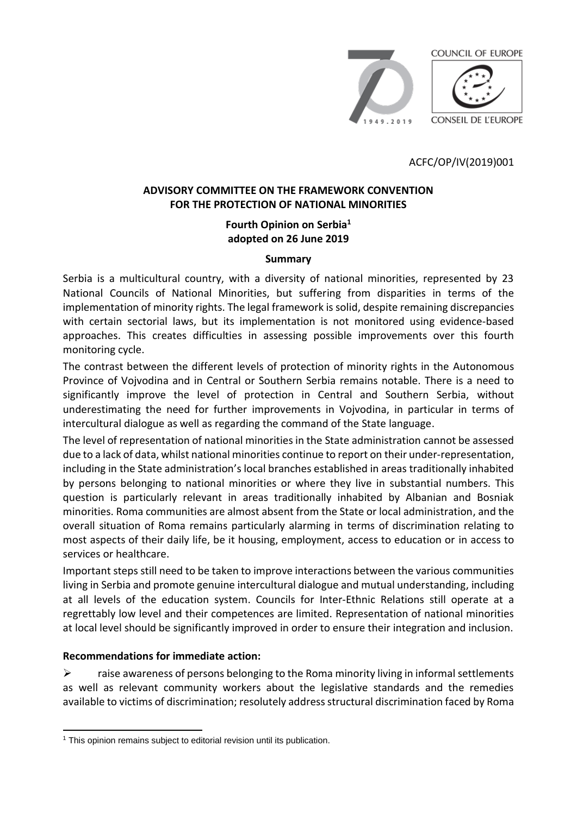

ACFC/OP/IV(2019)001

## **ADVISORY COMMITTEE ON THE FRAMEWORK CONVENTION FOR THE PROTECTION OF NATIONAL MINORITIES**

## **Fourth Opinion on Serbia<sup>1</sup> adopted on 26 June 2019**

#### **Summary**

Serbia is a multicultural country, with a diversity of national minorities, represented by 23 National Councils of National Minorities, but suffering from disparities in terms of the implementation of minority rights. The legal framework is solid, despite remaining discrepancies with certain sectorial laws, but its implementation is not monitored using evidence-based approaches. This creates difficulties in assessing possible improvements over this fourth monitoring cycle.

The contrast between the different levels of protection of minority rights in the Autonomous Province of Vojvodina and in Central or Southern Serbia remains notable. There is a need to significantly improve the level of protection in Central and Southern Serbia, without underestimating the need for further improvements in Vojvodina, in particular in terms of intercultural dialogue as well as regarding the command of the State language.

The level of representation of national minorities in the State administration cannot be assessed due to a lack of data, whilst national minorities continue to report on their under-representation, including in the State administration's local branches established in areas traditionally inhabited by persons belonging to national minorities or where they live in substantial numbers. This question is particularly relevant in areas traditionally inhabited by Albanian and Bosniak minorities. Roma communities are almost absent from the State or local administration, and the overall situation of Roma remains particularly alarming in terms of discrimination relating to most aspects of their daily life, be it housing, employment, access to education or in access to services or healthcare.

Important steps still need to be taken to improve interactions between the various communities living in Serbia and promote genuine intercultural dialogue and mutual understanding, including at all levels of the education system. Councils for Inter-Ethnic Relations still operate at a regrettably low level and their competences are limited. Representation of national minorities at local level should be significantly improved in order to ensure their integration and inclusion.

## **Recommendations for immediate action:**

 $\triangleright$  raise awareness of persons belonging to the Roma minority living in informal settlements as well as relevant community workers about the legislative standards and the remedies available to victims of discrimination; resolutely address structural discrimination faced by Roma

 <sup>1</sup> This opinion remains subject to editorial revision until its publication.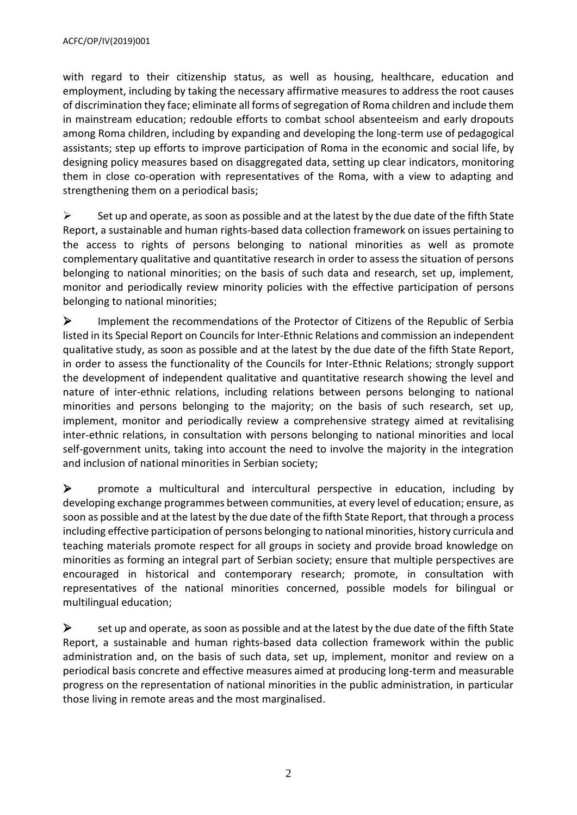with regard to their citizenship status, as well as housing, healthcare, education and employment, including by taking the necessary affirmative measures to address the root causes of discrimination they face; eliminate all forms of segregation of Roma children and include them in mainstream education; redouble efforts to combat school absenteeism and early dropouts among Roma children, including by expanding and developing the long-term use of pedagogical assistants; step up efforts to improve participation of Roma in the economic and social life, by designing policy measures based on disaggregated data, setting up clear indicators, monitoring them in close co-operation with representatives of the Roma, with a view to adapting and strengthening them on a periodical basis;

 $\triangleright$  Set up and operate, as soon as possible and at the latest by the due date of the fifth State Report, a sustainable and human rights-based data collection framework on issues pertaining to the access to rights of persons belonging to national minorities as well as promote complementary qualitative and quantitative research in order to assess the situation of persons belonging to national minorities; on the basis of such data and research, set up, implement, monitor and periodically review minority policies with the effective participation of persons belonging to national minorities;

 Implement the recommendations of the Protector of Citizens of the Republic of Serbia listed in its Special Report on Councils for Inter-Ethnic Relations and commission an independent qualitative study, as soon as possible and at the latest by the due date of the fifth State Report, in order to assess the functionality of the Councils for Inter-Ethnic Relations; strongly support the development of independent qualitative and quantitative research showing the level and nature of inter-ethnic relations, including relations between persons belonging to national minorities and persons belonging to the majority; on the basis of such research, set up, implement, monitor and periodically review a comprehensive strategy aimed at revitalising inter-ethnic relations, in consultation with persons belonging to national minorities and local self-government units, taking into account the need to involve the majority in the integration and inclusion of national minorities in Serbian society;

 $\triangleright$  promote a multicultural and intercultural perspective in education, including by developing exchange programmes between communities, at every level of education; ensure, as soon as possible and at the latest by the due date of the fifth State Report, that through a process including effective participation of persons belonging to national minorities, history curricula and teaching materials promote respect for all groups in society and provide broad knowledge on minorities as forming an integral part of Serbian society; ensure that multiple perspectives are encouraged in historical and contemporary research; promote, in consultation with representatives of the national minorities concerned, possible models for bilingual or multilingual education;

 $\triangleright$  set up and operate, as soon as possible and at the latest by the due date of the fifth State Report, a sustainable and human rights-based data collection framework within the public administration and, on the basis of such data, set up, implement, monitor and review on a periodical basis concrete and effective measures aimed at producing long-term and measurable progress on the representation of national minorities in the public administration, in particular those living in remote areas and the most marginalised.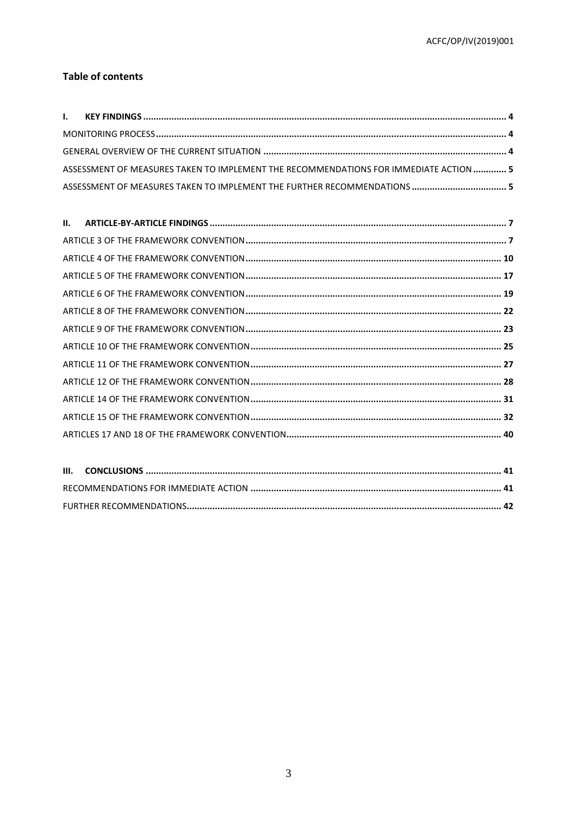#### **Table of contents**

| ASSESSMENT OF MEASURES TAKEN TO IMPLEMENT THE RECOMMENDATIONS FOR IMMEDIATE ACTION  5 |  |
|---------------------------------------------------------------------------------------|--|
|                                                                                       |  |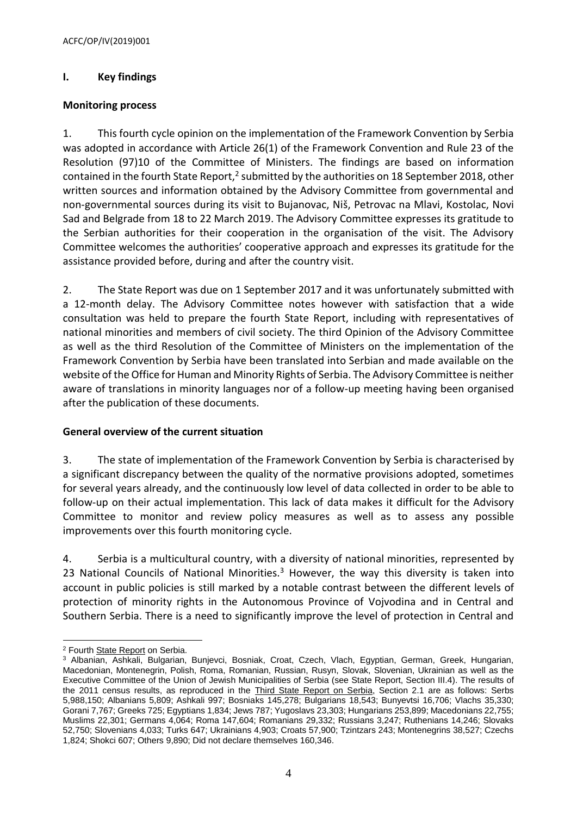# <span id="page-3-0"></span>**I. Key findings**

#### <span id="page-3-1"></span>**Monitoring process**

1. This fourth cycle opinion on the implementation of the Framework Convention by Serbia was adopted in accordance with Article 26(1) of the Framework Convention and Rule 23 of the Resolution (97)10 of the Committee of Ministers. The findings are based on information contained in the fourth State Report, $^2$  submitted by the authorities on 18 September 2018, other written sources and information obtained by the Advisory Committee from governmental and non-governmental sources during its visit to Bujanovac, Niš, Petrovac na Mlavi, Kostolac, Novi Sad and Belgrade from 18 to 22 March 2019. The Advisory Committee expresses its gratitude to the Serbian authorities for their cooperation in the organisation of the visit. The Advisory Committee welcomes the authorities' cooperative approach and expresses its gratitude for the assistance provided before, during and after the country visit.

2. The State Report was due on 1 September 2017 and it was unfortunately submitted with a 12-month delay. The Advisory Committee notes however with satisfaction that a wide consultation was held to prepare the fourth State Report, including with representatives of national minorities and members of civil society. The third Opinion of the Advisory Committee as well as the third Resolution of the Committee of Ministers on the implementation of the Framework Convention by Serbia have been translated into Serbian and made available on the website of the Office for Human and Minority Rights of Serbia. The Advisory Committee is neither aware of translations in minority languages nor of a follow-up meeting having been organised after the publication of these documents.

## <span id="page-3-2"></span>**General overview of the current situation**

3. The state of implementation of the Framework Convention by Serbia is characterised by a significant discrepancy between the quality of the normative provisions adopted, sometimes for several years already, and the continuously low level of data collected in order to be able to follow-up on their actual implementation. This lack of data makes it difficult for the Advisory Committee to monitor and review policy measures as well as to assess any possible improvements over this fourth monitoring cycle.

4. Serbia is a multicultural country, with a diversity of national minorities, represented by 23 National Councils of National Minorities.<sup>3</sup> However, the way this diversity is taken into account in public policies is still marked by a notable contrast between the different levels of protection of minority rights in the Autonomous Province of Vojvodina and in Central and Southern Serbia. There is a need to significantly improve the level of protection in Central and

 <sup>2</sup> Fourth **State Report** on Serbia.

<sup>3</sup> Albanian, Ashkali, Bulgarian, Bunjevci, Bosniak, Croat, Czech, Vlach, Egyptian, German, Greek, Hungarian, Macedonian, Montenegrin, Polish, Roma, Romanian, Russian, Rusyn, Slovak, Slovenian, Ukrainian as well as the Executive Committee of the Union of Jewish Municipalities of Serbia (see State Report, Section III.4). The results of the 2011 census results, as reproduced in the *Third State Report on Serbia*, Section 2.1 are as follows: Serbs 5,988,150; Albanians 5,809; Ashkali 997; Bosniaks 145,278; Bulgarians 18,543; Bunyevtsi 16,706; Vlachs 35,330; Gorani 7,767; Greeks 725; Egyptians 1,834; Jews 787; Yugoslavs 23,303; Hungarians 253,899; Macedonians 22,755; Muslims 22,301; Germans 4,064; Roma 147,604; Romanians 29,332; Russians 3,247; Ruthenians 14,246; Slovaks 52,750; Slovenians 4,033; Turks 647; Ukrainians 4,903; Croats 57,900; Tzintzars 243; Montenegrins 38,527; Czechs 1,824; Shokci 607; Others 9,890; Did not declare themselves 160,346.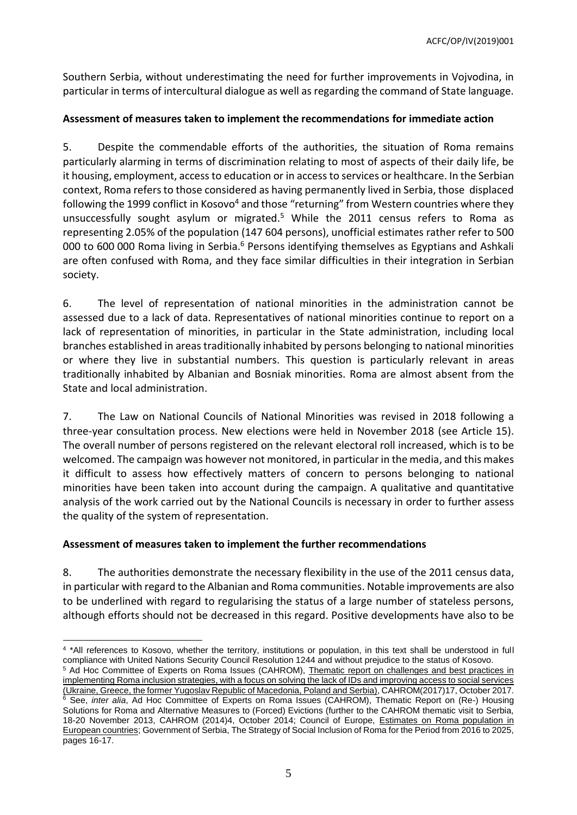ACFC/OP/IV(2019)001

Southern Serbia, without underestimating the need for further improvements in Vojvodina, in particular in terms of intercultural dialogue as well as regarding the command of State language.

# <span id="page-4-0"></span>**Assessment of measures taken to implement the recommendations for immediate action**

5. Despite the commendable efforts of the authorities, the situation of Roma remains particularly alarming in terms of discrimination relating to most of aspects of their daily life, be it housing, employment, access to education or in access to services or healthcare. In the Serbian context, Roma refers to those considered as having permanently lived in Serbia, those displaced following the 1999 conflict in Kosovo<sup>4</sup> and those "returning" from Western countries where they unsuccessfully sought asylum or migrated.<sup>5</sup> While the 2011 census refers to Roma as representing 2.05% of the population (147 604 persons), unofficial estimates rather refer to 500 000 to 600 000 Roma living in Serbia.<sup>6</sup> Persons identifying themselves as Egyptians and Ashkali are often confused with Roma, and they face similar difficulties in their integration in Serbian society.

6. The level of representation of national minorities in the administration cannot be assessed due to a lack of data. Representatives of national minorities continue to report on a lack of representation of minorities, in particular in the State administration, including local branches established in areas traditionally inhabited by persons belonging to national minorities or where they live in substantial numbers. This question is particularly relevant in areas traditionally inhabited by Albanian and Bosniak minorities. Roma are almost absent from the State and local administration.

7. The Law on National Councils of National Minorities was revised in 2018 following a three-year consultation process. New elections were held in November 2018 (see Article 15). The overall number of persons registered on the relevant electoral roll increased, which is to be welcomed. The campaign was however not monitored, in particular in the media, and this makes it difficult to assess how effectively matters of concern to persons belonging to national minorities have been taken into account during the campaign. A qualitative and quantitative analysis of the work carried out by the National Councils is necessary in order to further assess the quality of the system of representation.

## <span id="page-4-1"></span>**Assessment of measures taken to implement the further recommendations**

8. The authorities demonstrate the necessary flexibility in the use of the 2011 census data, in particular with regard to the Albanian and Roma communities. Notable improvements are also to be underlined with regard to regularising the status of a large number of stateless persons, although efforts should not be decreased in this regard. Positive developments have also to be

 4 \*All references to Kosovo, whether the territory, institutions or population, in this text shall be understood in full compliance with United Nations Security Council Resolution 1244 and without prejudice to the status of Kosovo.

<sup>&</sup>lt;sup>5</sup> Ad Hoc Committee of Experts on Roma Issues (CAHROM), Thematic report on challenges and best practices in [implementing Roma inclusion strategies, with a focus on solving the lack of IDs and improving access to social services](http://rm.coe.int/cahrom-2017-17-report-of-thematic-visit-to-ukraine-on-roma-policies-wi/16808c2722&format=native)  [\(Ukraine, Greece, the former Yugoslav Republic of Macedonia, Poland](http://rm.coe.int/cahrom-2017-17-report-of-thematic-visit-to-ukraine-on-roma-policies-wi/16808c2722&format=native) and Serbia), CAHROM(2017)17, October 2017.

<sup>&</sup>lt;sup>6</sup> See, *inter alia*, Ad Hoc Committee of Experts on Roma Issues (CAHROM), Thematic Report on (Re-) Housing Solutions for Roma and Alternative Measures to (Forced) Evictions (further to the CAHROM thematic visit to Serbia, 18-20 November 2013, CAHROM (2014)4, October 2014; Council of Europe, *Estimates on Roma population in* [European countries;](http://rm.coe.int/CoERMPublicCommonSearchServices/DisplayDCTMContent?documentId=0900001680088ea9) Government of Serbia, The Strategy of Social Inclusion of Roma for the Period from 2016 to 2025, pages 16-17.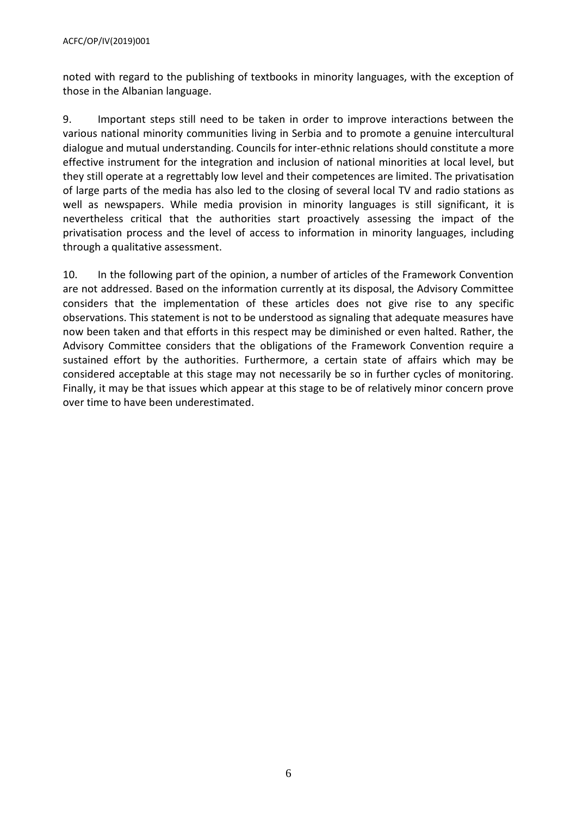noted with regard to the publishing of textbooks in minority languages, with the exception of those in the Albanian language.

9. Important steps still need to be taken in order to improve interactions between the various national minority communities living in Serbia and to promote a genuine intercultural dialogue and mutual understanding. Councils for inter-ethnic relations should constitute a more effective instrument for the integration and inclusion of national minorities at local level, but they still operate at a regrettably low level and their competences are limited. The privatisation of large parts of the media has also led to the closing of several local TV and radio stations as well as newspapers. While media provision in minority languages is still significant, it is nevertheless critical that the authorities start proactively assessing the impact of the privatisation process and the level of access to information in minority languages, including through a qualitative assessment.

10. In the following part of the opinion, a number of articles of the Framework Convention are not addressed. Based on the information currently at its disposal, the Advisory Committee considers that the implementation of these articles does not give rise to any specific observations. This statement is not to be understood as signaling that adequate measures have now been taken and that efforts in this respect may be diminished or even halted. Rather, the Advisory Committee considers that the obligations of the Framework Convention require a sustained effort by the authorities. Furthermore, a certain state of affairs which may be considered acceptable at this stage may not necessarily be so in further cycles of monitoring. Finally, it may be that issues which appear at this stage to be of relatively minor concern prove over time to have been underestimated.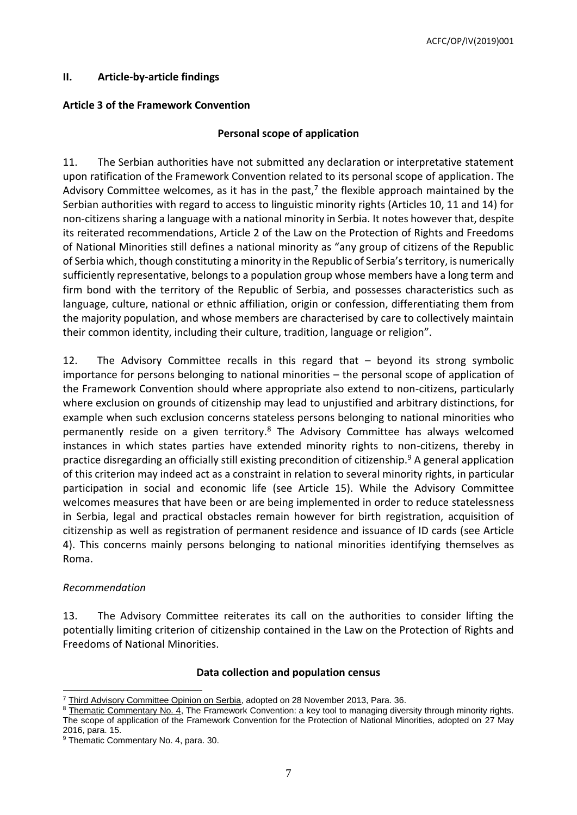## <span id="page-6-0"></span>**II. Article-by-article findings**

#### <span id="page-6-1"></span>**Article 3 of the Framework Convention**

#### **Personal scope of application**

11. The Serbian authorities have not submitted any declaration or interpretative statement upon ratification of the Framework Convention related to its personal scope of application. The Advisory Committee welcomes, as it has in the past,<sup>7</sup> the flexible approach maintained by the Serbian authorities with regard to access to linguistic minority rights (Articles 10, 11 and 14) for non-citizens sharing a language with a national minority in Serbia. It notes however that, despite its reiterated recommendations, Article 2 of the Law on the Protection of Rights and Freedoms of National Minorities still defines a national minority as "any group of citizens of the Republic of Serbia which, though constituting a minority in the Republic of Serbia's territory, is numerically sufficiently representative, belongs to a population group whose members have a long term and firm bond with the territory of the Republic of Serbia, and possesses characteristics such as language, culture, national or ethnic affiliation, origin or confession, differentiating them from the majority population, and whose members are characterised by care to collectively maintain their common identity, including their culture, tradition, language or religion".

12. The Advisory Committee recalls in this regard that – beyond its strong symbolic importance for persons belonging to national minorities – the personal scope of application of the Framework Convention should where appropriate also extend to non-citizens, particularly where exclusion on grounds of citizenship may lead to unjustified and arbitrary distinctions, for example when such exclusion concerns stateless persons belonging to national minorities who permanently reside on a given territory.<sup>8</sup> The Advisory Committee has always welcomed instances in which states parties have extended minority rights to non-citizens, thereby in practice disregarding an officially still existing precondition of citizenship.<sup>9</sup> A general application of this criterion may indeed act as a constraint in relation to several minority rights, in particular participation in social and economic life (see Article 15). While the Advisory Committee welcomes measures that have been or are being implemented in order to reduce statelessness in Serbia, legal and practical obstacles remain however for birth registration, acquisition of citizenship as well as registration of permanent residence and issuance of ID cards (see Article 4). This concerns mainly persons belonging to national minorities identifying themselves as Roma.

#### *Recommendation*

13. The Advisory Committee reiterates its call on the authorities to consider lifting the potentially limiting criterion of citizenship contained in the Law on the Protection of Rights and Freedoms of National Minorities.

#### **Data collection and population census**

 <sup>7</sup> [Third Advisory Committee Opinion on Serbia,](http://rm.coe.int/CoERMPublicCommonSearchServices/DisplayDCTMContent?documentId=090000168008c6aa) adopted on 28 November 2013, Para. 36.

 $8$  [Thematic Commentary No. 4,](https://rm.coe.int/CoERMPublicCommonSearchServices/DisplayDCTMContent?documentId=09000016806a4811) The Framework Convention: a key tool to managing diversity through minority rights. The scope of application of the Framework Convention for the Protection of National Minorities, adopted on 27 May 2016, para. 15.

<sup>&</sup>lt;sup>9</sup> Thematic Commentary No. 4, para. 30.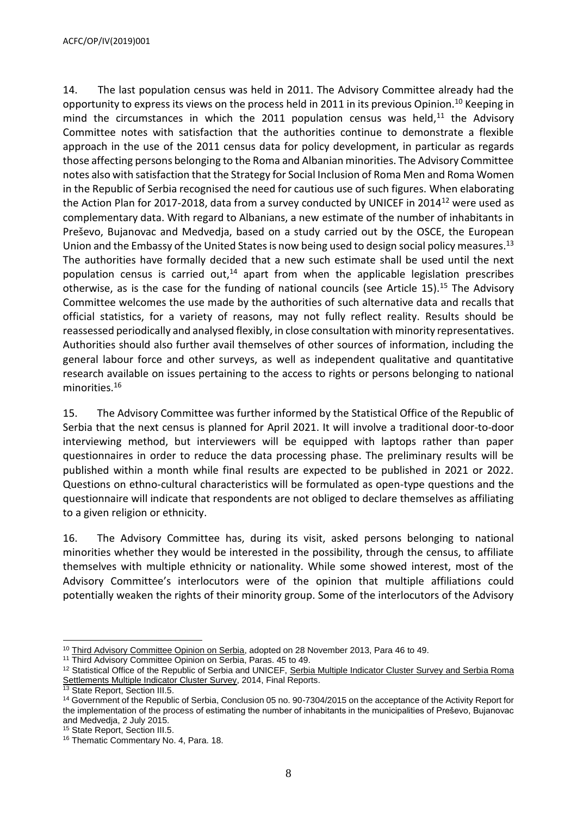14. The last population census was held in 2011. The Advisory Committee already had the opportunity to express its views on the process held in 2011 in its previous Opinion.<sup>10</sup> Keeping in mind the circumstances in which the 2011 population census was held, $^{11}$  the Advisory Committee notes with satisfaction that the authorities continue to demonstrate a flexible approach in the use of the 2011 census data for policy development, in particular as regards those affecting persons belonging to the Roma and Albanian minorities. The Advisory Committee notes also with satisfaction that the Strategy for Social Inclusion of Roma Men and Roma Women in the Republic of Serbia recognised the need for cautious use of such figures. When elaborating the Action Plan for 2017-2018, data from a survey conducted by UNICEF in 2014<sup>12</sup> were used as complementary data. With regard to Albanians, a new estimate of the number of inhabitants in Preševo, Bujanovac and Medvedja, based on a study carried out by the OSCE, the European Union and the Embassy of the United States is now being used to design social policy measures.<sup>13</sup> The authorities have formally decided that a new such estimate shall be used until the next population census is carried out,<sup>14</sup> apart from when the applicable legislation prescribes otherwise, as is the case for the funding of national councils (see Article 15).<sup>15</sup> The Advisory Committee welcomes the use made by the authorities of such alternative data and recalls that official statistics, for a variety of reasons, may not fully reflect reality. Results should be reassessed periodically and analysed flexibly, in close consultation with minority representatives. Authorities should also further avail themselves of other sources of information, including the general labour force and other surveys, as well as independent qualitative and quantitative research available on issues pertaining to the access to rights or persons belonging to national minorities.<sup>16</sup>

15. The Advisory Committee was further informed by the Statistical Office of the Republic of Serbia that the next census is planned for April 2021. It will involve a traditional door-to-door interviewing method, but interviewers will be equipped with laptops rather than paper questionnaires in order to reduce the data processing phase. The preliminary results will be published within a month while final results are expected to be published in 2021 or 2022. Questions on ethno-cultural characteristics will be formulated as open-type questions and the questionnaire will indicate that respondents are not obliged to declare themselves as affiliating to a given religion or ethnicity.

16. The Advisory Committee has, during its visit, asked persons belonging to national minorities whether they would be interested in the possibility, through the census, to affiliate themselves with multiple ethnicity or nationality. While some showed interest, most of the Advisory Committee's interlocutors were of the opinion that multiple affiliations could potentially weaken the rights of their minority group. Some of the interlocutors of the Advisory

 <sup>10</sup> [Third Advisory Committee Opinion on Serbia,](http://rm.coe.int/CoERMPublicCommonSearchServices/DisplayDCTMContent?documentId=090000168008c6aa) adopted on 28 November 2013, Para 46 to 49.

<sup>&</sup>lt;sup>11</sup> Third Advisory Committee Opinion on Serbia, Paras. 45 to 49.

<sup>&</sup>lt;sup>12</sup> Statistical Office of the Republic of Serbia and UNICEF, Serbia Multiple Indicator Cluster Survey and Serbia Roma [Settlements Multiple Indicator Cluster Survey,](http://www.stat.gov.rs/media/3528/mics5_report_serbia.pdf) 2014, Final Reports.

<sup>&</sup>lt;sup>13</sup> State Report, Section III.5.

<sup>14</sup> Government of the Republic of Serbia, Conclusion 05 no. 90-7304/2015 on the acceptance of the Activity Report for the implementation of the process of estimating the number of inhabitants in the municipalities of Preševo, Bujanovac and Medvedja, 2 July 2015.

<sup>15</sup> State Report, Section III.5.

<sup>&</sup>lt;sup>16</sup> Thematic Commentary No. 4, Para. 18.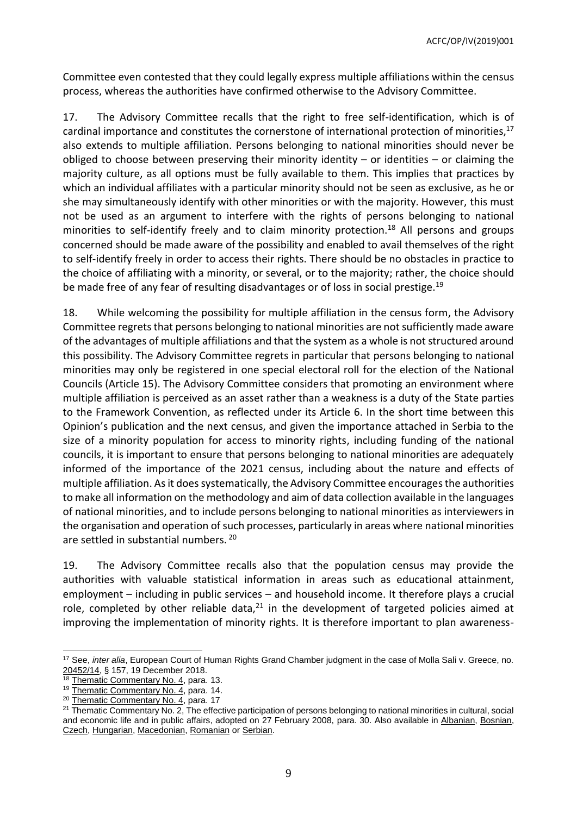Committee even contested that they could legally express multiple affiliations within the census process, whereas the authorities have confirmed otherwise to the Advisory Committee.

17. The Advisory Committee recalls that the right to free self-identification, which is of cardinal importance and constitutes the cornerstone of international protection of minorities,<sup>17</sup> also extends to multiple affiliation. Persons belonging to national minorities should never be obliged to choose between preserving their minority identity – or identities – or claiming the majority culture, as all options must be fully available to them. This implies that practices by which an individual affiliates with a particular minority should not be seen as exclusive, as he or she may simultaneously identify with other minorities or with the majority. However, this must not be used as an argument to interfere with the rights of persons belonging to national minorities to self-identify freely and to claim minority protection.<sup>18</sup> All persons and groups concerned should be made aware of the possibility and enabled to avail themselves of the right to self-identify freely in order to access their rights. There should be no obstacles in practice to the choice of affiliating with a minority, or several, or to the majority; rather, the choice should be made free of any fear of resulting disadvantages or of loss in social prestige.<sup>19</sup>

18. While welcoming the possibility for multiple affiliation in the census form, the Advisory Committee regrets that persons belonging to national minorities are not sufficiently made aware of the advantages of multiple affiliations and that the system as a whole is not structured around this possibility. The Advisory Committee regrets in particular that persons belonging to national minorities may only be registered in one special electoral roll for the election of the National Councils (Article 15). The Advisory Committee considers that promoting an environment where multiple affiliation is perceived as an asset rather than a weakness is a duty of the State parties to the Framework Convention, as reflected under its Article 6. In the short time between this Opinion's publication and the next census, and given the importance attached in Serbia to the size of a minority population for access to minority rights, including funding of the national councils, it is important to ensure that persons belonging to national minorities are adequately informed of the importance of the 2021 census, including about the nature and effects of multiple affiliation. As it does systematically, the Advisory Committee encouragesthe authorities to make all information on the methodology and aim of data collection available in the languages of national minorities, and to include persons belonging to national minorities as interviewers in the organisation and operation of such processes, particularly in areas where national minorities are settled in substantial numbers. 20

19. The Advisory Committee recalls also that the population census may provide the authorities with valuable statistical information in areas such as educational attainment, employment – including in public services – and household income. It therefore plays a crucial role, completed by other reliable data, $21$  in the development of targeted policies aimed at improving the implementation of minority rights. It is therefore important to plan awareness-

<sup>17</sup> See, *inter alia*, European Court of Human Rights Grand Chamber judgment in the case of Molla Sali v. Greece, no. [20452/14,](https://hudoc.echr.coe.int/eng#{%22itemid%22:[%22001-188985%22]}) § 157, 19 December 2018.

[Thematic Commentary No. 4,](https://rm.coe.int/CoERMPublicCommonSearchServices/DisplayDCTMContent?documentId=09000016806a4811) para. 13.

<sup>&</sup>lt;sup>19</sup> [Thematic Commentary No. 4,](https://rm.coe.int/CoERMPublicCommonSearchServices/DisplayDCTMContent?documentId=09000016806a4811) para. 14.

<sup>&</sup>lt;sup>20</sup> [Thematic Commentary No. 4,](https://rm.coe.int/CoERMPublicCommonSearchServices/DisplayDCTMContent?documentId=09000016806a4811) para. 17

<sup>&</sup>lt;sup>21</sup> Thematic Commentary No. 2, The effective participation of persons belonging to national minorities in cultural, social and economic life and in public affairs, adopted on 27 February 2008, para. 30. Also available in [Albanian,](http://rm.coe.int/CoERMPublicCommonSearchServices/DisplayDCTMContent?documentId=09000016800bc811) [Bosnian,](http://rm.coe.int/CoERMPublicCommonSearchServices/DisplayDCTMContent?documentId=09000016800bc7ea) [Czech,](http://rm.coe.int/CoERMPublicCommonSearchServices/DisplayDCTMContent?documentId=09000016800bc7eb) [Hungarian,](http://rm.coe.int/CoERMPublicCommonSearchServices/DisplayDCTMContent?documentId=09000016800bc7ee) [Macedonian,](http://rm.coe.int/CoERMPublicCommonSearchServices/DisplayDCTMContent?documentId=09000016800bc815) [Romanian](http://rm.coe.int/doc/090000168070220a) or [Serbian.](http://rm.coe.int/CoERMPublicCommonSearchServices/DisplayDCTMContent?documentId=09000016800bc812)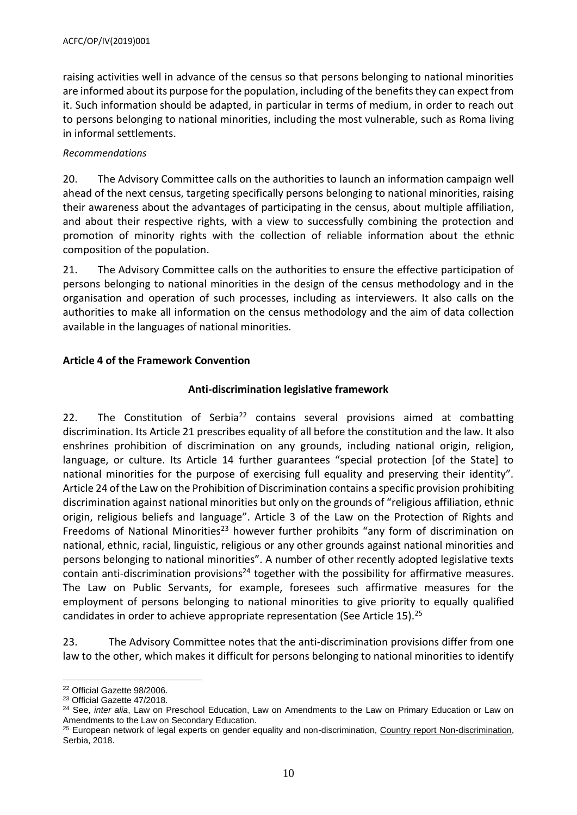raising activities well in advance of the census so that persons belonging to national minorities are informed about its purpose for the population, including of the benefits they can expect from it. Such information should be adapted, in particular in terms of medium, in order to reach out to persons belonging to national minorities, including the most vulnerable, such as Roma living in informal settlements.

#### *Recommendations*

20. The Advisory Committee calls on the authorities to launch an information campaign well ahead of the next census, targeting specifically persons belonging to national minorities, raising their awareness about the advantages of participating in the census, about multiple affiliation, and about their respective rights, with a view to successfully combining the protection and promotion of minority rights with the collection of reliable information about the ethnic composition of the population.

21. The Advisory Committee calls on the authorities to ensure the effective participation of persons belonging to national minorities in the design of the census methodology and in the organisation and operation of such processes, including as interviewers. It also calls on the authorities to make all information on the census methodology and the aim of data collection available in the languages of national minorities.

## <span id="page-9-0"></span>**Article 4 of the Framework Convention**

## **Anti-discrimination legislative framework**

22. The Constitution of Serbia<sup>22</sup> contains several provisions aimed at combatting discrimination. Its Article 21 prescribes equality of all before the constitution and the law. It also enshrines prohibition of discrimination on any grounds, including national origin, religion, language, or culture. Its Article 14 further guarantees "special protection [of the State] to national minorities for the purpose of exercising full equality and preserving their identity". Article 24 of the Law on the Prohibition of Discrimination contains a specific provision prohibiting discrimination against national minorities but only on the grounds of "religious affiliation, ethnic origin, religious beliefs and language". Article 3 of the Law on the Protection of Rights and Freedoms of National Minorities<sup>23</sup> however further prohibits "any form of discrimination on national, ethnic, racial, linguistic, religious or any other grounds against national minorities and persons belonging to national minorities". A number of other recently adopted legislative texts contain anti-discrimination provisions<sup>24</sup> together with the possibility for affirmative measures. The Law on Public Servants, for example, foresees such affirmative measures for the employment of persons belonging to national minorities to give priority to equally qualified candidates in order to achieve appropriate representation (See Article 15).<sup>25</sup>

23. The Advisory Committee notes that the anti-discrimination provisions differ from one law to the other, which makes it difficult for persons belonging to national minorities to identify

 $\overline{a}$ 

<sup>22</sup> Official Gazette 98/2006.

<sup>23</sup> Official Gazette 47/2018.

<sup>24</sup> See, *inter alia*, Law on Preschool Education, Law on Amendments to the Law on Primary Education or Law on Amendments to the Law on Secondary Education.

<sup>&</sup>lt;sup>25</sup> European network of legal experts on gender equality and non-discrimination, [Country report Non-discrimination,](https://www.equalitylaw.eu/country/serbia) Serbia, 2018.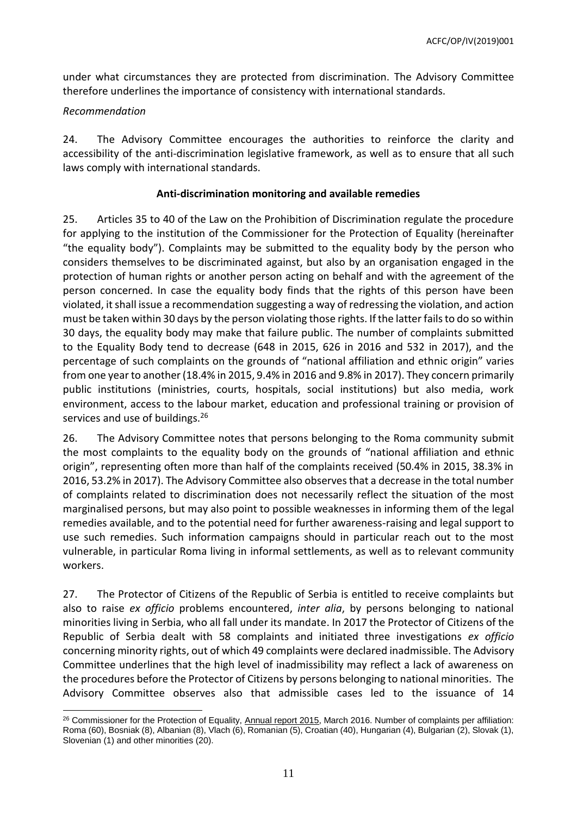under what circumstances they are protected from discrimination. The Advisory Committee therefore underlines the importance of consistency with international standards.

#### *Recommendation*

24. The Advisory Committee encourages the authorities to reinforce the clarity and accessibility of the anti-discrimination legislative framework, as well as to ensure that all such laws comply with international standards.

#### **Anti-discrimination monitoring and available remedies**

25. Articles 35 to 40 of the Law on the Prohibition of Discrimination regulate the procedure for applying to the institution of the Commissioner for the Protection of Equality (hereinafter "the equality body"). Complaints may be submitted to the equality body by the person who considers themselves to be discriminated against, but also by an organisation engaged in the protection of human rights or another person acting on behalf and with the agreement of the person concerned. In case the equality body finds that the rights of this person have been violated, it shall issue a recommendation suggesting a way of redressing the violation, and action must be taken within 30 days by the person violating those rights. If the latter fails to do so within 30 days, the equality body may make that failure public. The number of complaints submitted to the Equality Body tend to decrease (648 in 2015, 626 in 2016 and 532 in 2017), and the percentage of such complaints on the grounds of "national affiliation and ethnic origin" varies from one year to another (18.4% in 2015, 9.4% in 2016 and 9.8% in 2017). They concern primarily public institutions (ministries, courts, hospitals, social institutions) but also media, work environment, access to the labour market, education and professional training or provision of services and use of buildings.<sup>26</sup>

26. The Advisory Committee notes that persons belonging to the Roma community submit the most complaints to the equality body on the grounds of "national affiliation and ethnic origin", representing often more than half of the complaints received (50.4% in 2015, 38.3% in 2016, 53.2% in 2017). The Advisory Committee also observes that a decrease in the total number of complaints related to discrimination does not necessarily reflect the situation of the most marginalised persons, but may also point to possible weaknesses in informing them of the legal remedies available, and to the potential need for further awareness-raising and legal support to use such remedies. Such information campaigns should in particular reach out to the most vulnerable, in particular Roma living in informal settlements, as well as to relevant community workers.

27. The Protector of Citizens of the Republic of Serbia is entitled to receive complaints but also to raise *ex officio* problems encountered, *inter alia*, by persons belonging to national minorities living in Serbia, who all fall under its mandate. In 2017 the Protector of Citizens of the Republic of Serbia dealt with 58 complaints and initiated three investigations *ex officio* concerning minority rights, out of which 49 complaints were declared inadmissible. The Advisory Committee underlines that the high level of inadmissibility may reflect a lack of awareness on the procedures before the Protector of Citizens by persons belonging to national minorities. The Advisory Committee observes also that admissible cases led to the issuance of 14

 $\overline{a}$ <sup>26</sup> Commissioner for the Protection of Equality, [Annual report 2015,](http://ravnopravnost-5bcf.kxcdn.com/wp-content/uploads/2016/09/Commisssioner-for-the-Protection-of-Equality-2015-Regular-Annual-Report-1.pdf) March 2016. Number of complaints per affiliation: Roma (60), Bosniak (8), Albanian (8), Vlach (6), Romanian (5), Croatian (40), Hungarian (4), Bulgarian (2), Slovak (1), Slovenian (1) and other minorities (20).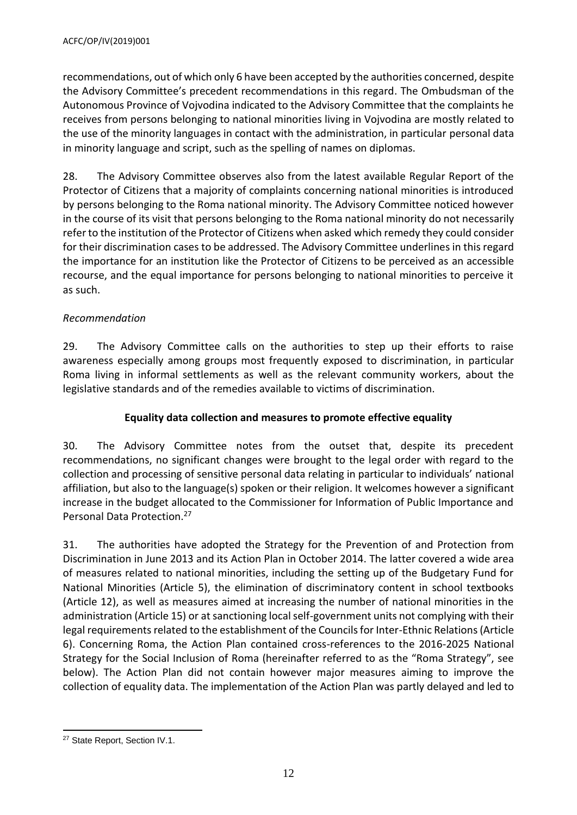recommendations, out of which only 6 have been accepted by the authorities concerned, despite the Advisory Committee's precedent recommendations in this regard. The Ombudsman of the Autonomous Province of Vojvodina indicated to the Advisory Committee that the complaints he receives from persons belonging to national minorities living in Vojvodina are mostly related to the use of the minority languages in contact with the administration, in particular personal data in minority language and script, such as the spelling of names on diplomas.

28. The Advisory Committee observes also from the latest available Regular Report of the Protector of Citizens that a majority of complaints concerning national minorities is introduced by persons belonging to the Roma national minority. The Advisory Committee noticed however in the course of its visit that persons belonging to the Roma national minority do not necessarily refer to the institution of the Protector of Citizens when asked which remedy they could consider for their discrimination cases to be addressed. The Advisory Committee underlines in this regard the importance for an institution like the Protector of Citizens to be perceived as an accessible recourse, and the equal importance for persons belonging to national minorities to perceive it as such.

# *Recommendation*

29. The Advisory Committee calls on the authorities to step up their efforts to raise awareness especially among groups most frequently exposed to discrimination, in particular Roma living in informal settlements as well as the relevant community workers, about the legislative standards and of the remedies available to victims of discrimination.

## **Equality data collection and measures to promote effective equality**

30. The Advisory Committee notes from the outset that, despite its precedent recommendations, no significant changes were brought to the legal order with regard to the collection and processing of sensitive personal data relating in particular to individuals' national affiliation, but also to the language(s) spoken or their religion. It welcomes however a significant increase in the budget allocated to the Commissioner for Information of Public Importance and Personal Data Protection.<sup>27</sup>

31. The authorities have adopted the Strategy for the Prevention of and Protection from Discrimination in June 2013 and its Action Plan in October 2014. The latter covered a wide area of measures related to national minorities, including the setting up of the Budgetary Fund for National Minorities (Article 5), the elimination of discriminatory content in school textbooks (Article 12), as well as measures aimed at increasing the number of national minorities in the administration (Article 15) or at sanctioning local self-government units not complying with their legal requirements related to the establishment of the Councils for Inter-Ethnic Relations (Article 6). Concerning Roma, the Action Plan contained cross-references to the 2016-2025 National Strategy for the Social Inclusion of Roma (hereinafter referred to as the "Roma Strategy", see below). The Action Plan did not contain however major measures aiming to improve the collection of equality data. The implementation of the Action Plan was partly delayed and led to

 <sup>27</sup> State Report, Section IV.1.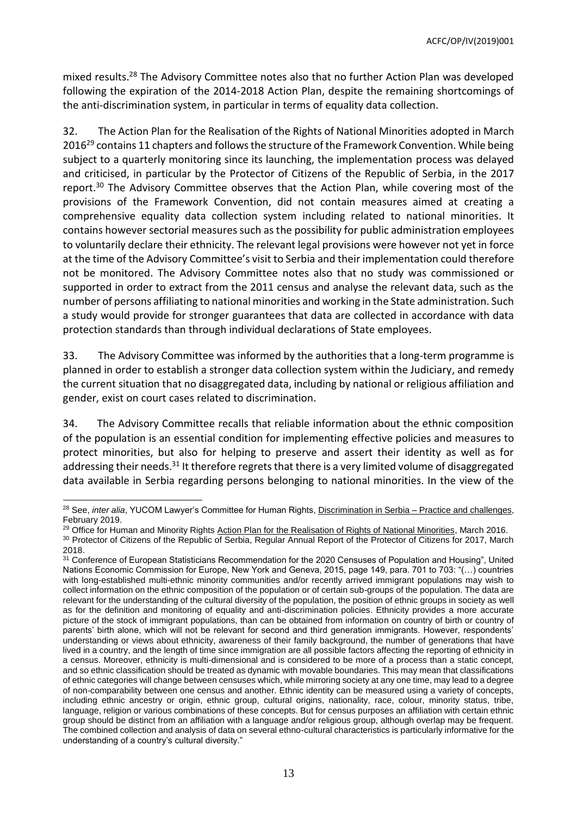mixed results.<sup>28</sup> The Advisory Committee notes also that no further Action Plan was developed following the expiration of the 2014-2018 Action Plan, despite the remaining shortcomings of the anti-discrimination system, in particular in terms of equality data collection.

32. The Action Plan for the Realisation of the Rights of National Minorities adopted in March 2016<sup>29</sup> contains 11 chapters and follows the structure of the Framework Convention. While being subject to a quarterly monitoring since its launching, the implementation process was delayed and criticised, in particular by the Protector of Citizens of the Republic of Serbia, in the 2017 report.<sup>30</sup> The Advisory Committee observes that the Action Plan, while covering most of the provisions of the Framework Convention, did not contain measures aimed at creating a comprehensive equality data collection system including related to national minorities. It contains however sectorial measures such as the possibility for public administration employees to voluntarily declare their ethnicity. The relevant legal provisions were however not yet in force at the time of the Advisory Committee's visit to Serbia and their implementation could therefore not be monitored. The Advisory Committee notes also that no study was commissioned or supported in order to extract from the 2011 census and analyse the relevant data, such as the number of persons affiliating to national minorities and working in the State administration. Such a study would provide for stronger guarantees that data are collected in accordance with data protection standards than through individual declarations of State employees.

33. The Advisory Committee was informed by the authorities that a long-term programme is planned in order to establish a stronger data collection system within the Judiciary, and remedy the current situation that no disaggregated data, including by national or religious affiliation and gender, exist on court cases related to discrimination.

34. The Advisory Committee recalls that reliable information about the ethnic composition of the population is an essential condition for implementing effective policies and measures to protect minorities, but also for helping to preserve and assert their identity as well as for addressing their needs.<sup>31</sup> It therefore regrets that there is a very limited volume of disaggregated data available in Serbia regarding persons belonging to national minorities. In the view of the

<sup>&</sup>lt;sup>28</sup> See, *inter alia*, YUCOM Lawyer's Committee for Human Rights[, Discrimination in Serbia –](http://en.yucom.org.rs/wp-content/uploads/2019/02/Discrimination-in-Serbia-practice-and-challenges.pdf) Practice and challenges, February 2019.

<sup>&</sup>lt;sup>29</sup> Office for Human and Minority Rights [Action Plan for the Realisation of Rights of National Minorities,](http://www.puma.vojvodina.gov.rs/dokumenti/Engleski/pravni_akti/Action%20Plan%20for%20National%20Minorities.PDF) March 2016.

<sup>30</sup> Protector of Citizens of the Republic of Serbia, Regular Annual Report of the Protector of Citizens for 2017, March 2018.

<sup>31</sup> Conference of European Statisticians Recommendation for the 2020 Censuses of Population and Housing", United Nations Economic Commission for Europe, New York and Geneva, 2015, page 149, para. 701 to 703: "(…) countries with long-established multi-ethnic minority communities and/or recently arrived immigrant populations may wish to collect information on the ethnic composition of the population or of certain sub-groups of the population. The data are relevant for the understanding of the cultural diversity of the population, the position of ethnic groups in society as well as for the definition and monitoring of equality and anti-discrimination policies. Ethnicity provides a more accurate picture of the stock of immigrant populations, than can be obtained from information on country of birth or country of parents' birth alone, which will not be relevant for second and third generation immigrants. However, respondents' understanding or views about ethnicity, awareness of their family background, the number of generations that have lived in a country, and the length of time since immigration are all possible factors affecting the reporting of ethnicity in a census. Moreover, ethnicity is multi-dimensional and is considered to be more of a process than a static concept, and so ethnic classification should be treated as dynamic with movable boundaries. This may mean that classifications of ethnic categories will change between censuses which, while mirroring society at any one time, may lead to a degree of non-comparability between one census and another. Ethnic identity can be measured using a variety of concepts, including ethnic ancestry or origin, ethnic group, cultural origins, nationality, race, colour, minority status, tribe, language, religion or various combinations of these concepts. But for census purposes an affiliation with certain ethnic group should be distinct from an affiliation with a language and/or religious group, although overlap may be frequent. The combined collection and analysis of data on several ethno-cultural characteristics is particularly informative for the understanding of a country's cultural diversity."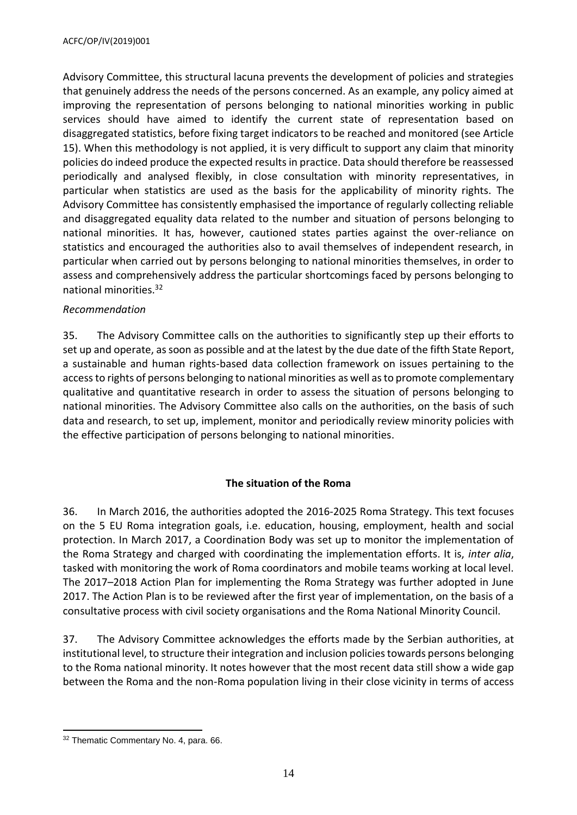Advisory Committee, this structural lacuna prevents the development of policies and strategies that genuinely address the needs of the persons concerned. As an example, any policy aimed at improving the representation of persons belonging to national minorities working in public services should have aimed to identify the current state of representation based on disaggregated statistics, before fixing target indicators to be reached and monitored (see Article 15). When this methodology is not applied, it is very difficult to support any claim that minority policies do indeed produce the expected results in practice. Data should therefore be reassessed periodically and analysed flexibly, in close consultation with minority representatives, in particular when statistics are used as the basis for the applicability of minority rights. The Advisory Committee has consistently emphasised the importance of regularly collecting reliable and disaggregated equality data related to the number and situation of persons belonging to national minorities. It has, however, cautioned states parties against the over-reliance on statistics and encouraged the authorities also to avail themselves of independent research, in particular when carried out by persons belonging to national minorities themselves, in order to assess and comprehensively address the particular shortcomings faced by persons belonging to national minorities.<sup>32</sup>

#### *Recommendation*

35. The Advisory Committee calls on the authorities to significantly step up their efforts to set up and operate, as soon as possible and at the latest by the due date of the fifth State Report, a sustainable and human rights-based data collection framework on issues pertaining to the access to rights of persons belonging to national minorities as well asto promote complementary qualitative and quantitative research in order to assess the situation of persons belonging to national minorities. The Advisory Committee also calls on the authorities, on the basis of such data and research, to set up, implement, monitor and periodically review minority policies with the effective participation of persons belonging to national minorities.

## **The situation of the Roma**

36. In March 2016, the authorities adopted the 2016-2025 Roma Strategy. This text focuses on the 5 EU Roma integration goals, i.e. education, housing, employment, health and social protection. In March 2017, a Coordination Body was set up to monitor the implementation of the Roma Strategy and charged with coordinating the implementation efforts. It is, *inter alia*, tasked with monitoring the work of Roma coordinators and mobile teams working at local level. The 2017–2018 Action Plan for implementing the Roma Strategy was further adopted in June 2017. The Action Plan is to be reviewed after the first year of implementation, on the basis of a consultative process with civil society organisations and the Roma National Minority Council.

37. The Advisory Committee acknowledges the efforts made by the Serbian authorities, at institutional level, to structure their integration and inclusion policies towards persons belonging to the Roma national minority. It notes however that the most recent data still show a wide gap between the Roma and the non-Roma population living in their close vicinity in terms of access

 <sup>32</sup> Thematic Commentary No. 4, para. 66.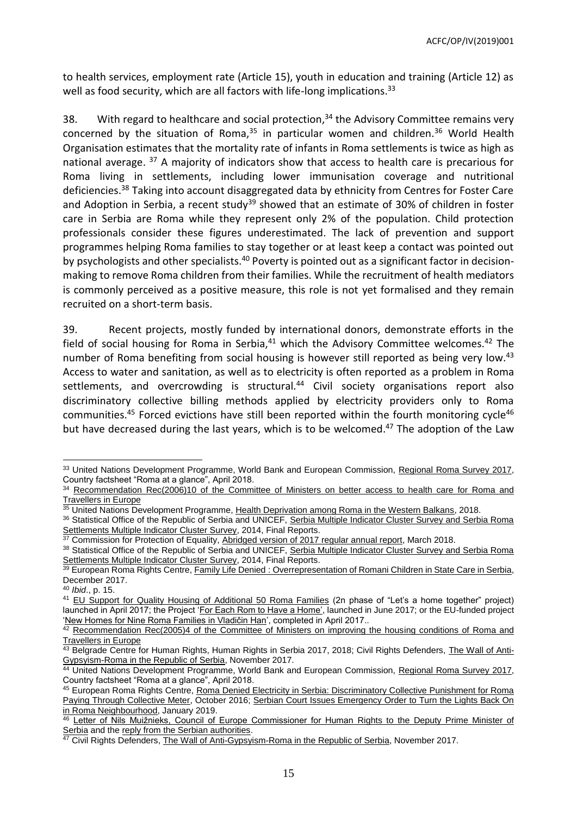to health services, employment rate (Article 15), youth in education and training (Article 12) as well as food security, which are all factors with life-long implications.<sup>33</sup>

38. With regard to healthcare and social protection,<sup>34</sup> the Advisory Committee remains very concerned by the situation of Roma, $35$  in particular women and children. $36$  World Health Organisation estimates that the mortality rate of infants in Roma settlements is twice as high as national average. <sup>37</sup> A majority of indicators show that access to health care is precarious for Roma living in settlements, including lower immunisation coverage and nutritional deficiencies.<sup>38</sup> Taking into account disaggregated data by ethnicity from Centres for Foster Care and Adoption in Serbia, a recent study<sup>39</sup> showed that an estimate of 30% of children in foster care in Serbia are Roma while they represent only 2% of the population. Child protection professionals consider these figures underestimated. The lack of prevention and support programmes helping Roma families to stay together or at least keep a contact was pointed out by psychologists and other specialists.<sup>40</sup> Poverty is pointed out as a significant factor in decisionmaking to remove Roma children from their families. While the recruitment of health mediators is commonly perceived as a positive measure, this role is not yet formalised and they remain recruited on a short-term basis.

39. Recent projects, mostly funded by international donors, demonstrate efforts in the field of social housing for Roma in Serbia, $41$  which the Advisory Committee welcomes. $42$  The number of Roma benefiting from social housing is however still reported as being very low.<sup>43</sup> Access to water and sanitation, as well as to electricity is often reported as a problem in Roma settlements, and overcrowding is structural.<sup>44</sup> Civil society organisations report also discriminatory collective billing methods applied by electricity providers only to Roma communities.<sup>45</sup> Forced evictions have still been reported within the fourth monitoring cycle<sup>46</sup> but have decreased during the last years, which is to be welcomed. <sup>47</sup> The adoption of the Law

l <sup>33</sup> United Nations Development Programme, World Bank and European Commission, [Regional Roma Survey 2017,](http://www.eurasia.undp.org/content/dam/rbec/docs/Factsheet_SERBIA_Roma.pdf) Country factsheet "Roma at a glance", April 2018.

Recommendation Rec(2006)10 of the Committee of Ministers on better access to health care for Roma and [Travellers in Europe](http://rm.coe.int/09000016805aff57)

<sup>35</sup> United Nations Development Programme, [Health Deprivation among Roma in the Western Balkans,](http://www.eurasia.undp.org/content/dam/rbec/docs/internal/HealthDeprivationAmongRoma_UNDP_RBEC.pdf) 2018.

<sup>36</sup> Statistical Office of the Republic of Serbia and UNICEF, Serbia Multiple Indicator Cluster Survey and Serbia Roma [Settlements Multiple Indicator Cluster Survey,](http://www.stat.gov.rs/media/3528/mics5_report_serbia.pdf) 2014, Final Reports.<br>37 Commission for Protection of Context Survey, 2014, Final Reports.

Commission for Protection of Equality, [Abridged version of 2017 regular annual report,](http://ravnopravnost-5bcf.kxcdn.com/wp-content/uploads/2018/07/Abridged-Version-of-2017-RAR-of-the-CPE.pdf) March 2018.

<sup>38</sup> Statistical Office of the Republic of Serbia and UNICEF, Serbia Multiple Indicator Cluster Survey and Serbia Roma [Settlements Multiple Indicator Cluster Survey,](http://www.stat.gov.rs/media/3528/mics5_report_serbia.pdf) 2014, Final Reports.

<sup>&</sup>lt;sup>39</sup> European Roma Rights Centre, <u>Family Life Denied [: Overrepresentation of Romani Children in State Care in Serbia,](http://www.errc.org/uploads/upload_en/file/overrepresentation-of-romani-children-in-state-care-in-serbia.pdf)</u> December 2017.

<sup>40</sup> *Ibid*., p. 15.

<sup>41</sup> [EU Support for Quality Housing of Additional 50 Roma Families](http://www.sagradimodom.org/vest/566/Podrska-EU-za-kvalitetno-stanovanje-dodatnih-50-) (2n phase of "Let's a home together" project) launched in April 2017; the Project ['For Each Rom to Have a Home',](https://www.housingcenter.org.rs/vesti-housing-centar/281-06062017-zapoela-realizacija-projekta-da-svaki-roma-ima-dom) launched in June 2017; or the EU-funded project ['New Homes for Nine Roma Families in Vladičin Han'](http://europa.rs/new-homes-for-nine-roma-families-in-vladicin-han/?lang=en), completed in April 2017..

<sup>42</sup> Recommendation Rec(2005)4 of the Committee of Ministers on improving the housing conditions of Roma and [Travellers in Europe](http://rm.coe.int/09000016805dad2c)

<sup>&</sup>lt;sup>43</sup> Belgrade Centre for Human Rights, Human Rights in Serbia 2017, 2018; Civil Rights Defenders, [The Wall of Anti-](https://crd.org/wp-content/uploads/2018/03/The-Wall-of-Anti-Gypsyism-Roma-in-Serbia.pdf)[Gypsyism-Roma in the Republic of Serbia,](https://crd.org/wp-content/uploads/2018/03/The-Wall-of-Anti-Gypsyism-Roma-in-Serbia.pdf) November 2017.

<sup>&</sup>lt;sup>44</sup> United Nations Development Programme, World Bank and European Commission, [Regional Roma Survey 2017,](http://www.eurasia.undp.org/content/dam/rbec/docs/Factsheet_SERBIA_Roma.pdf) Country factsheet "Roma at a glance", April 2018.

<sup>45</sup> European Roma Rights Centre, Roma Denied Electricity in Serbia: Discriminatory Collective Punishment for Roma [Paying Through Collective Meter,](http://www.errc.org/press-releases/roma-denied-electricity-in-serbia-discriminatory-collective-punishment-for-roma-paying-through-collective-meter) October 2016; [Serbian Court Issues Emergency Order to Turn the Lights Back On](http://www.errc.org/press-releases/serbian-court-issues-emergency-order-to-turn-the-lights-back-on-in-roma-neighbourhood)  [in Roma Neighbourhood,](http://www.errc.org/press-releases/serbian-court-issues-emergency-order-to-turn-the-lights-back-on-in-roma-neighbourhood) January 2019.

<sup>46</sup> [Letter of Nils Muižnieks, Council of Europe Commissioner for Human Rights to the Deputy Prime Minister of](http://wcd.coe.int/ViewDoc.jsp?Ref=CommDH(2016)14&Language=lanEnglish)  [Serbia](http://wcd.coe.int/ViewDoc.jsp?Ref=CommDH(2016)14&Language=lanEnglish) and the [reply from the Serbian authorities.](https://wcd.coe.int/ViewDoc.jsp?Ref=CommDH/GovRep(2016)4&Language=lanEnglish)

<sup>&</sup>lt;sup>47</sup> Civil Rights Defenders, <u>The Wall of Anti-Gypsyism-Roma in the Republic of Serbia</u>, November 2017.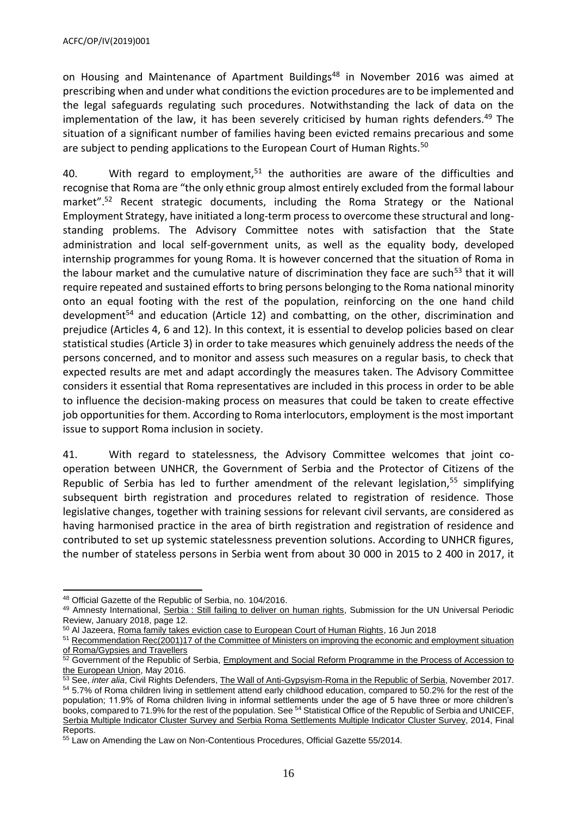on Housing and Maintenance of Apartment Buildings<sup>48</sup> in November 2016 was aimed at prescribing when and under what conditions the eviction procedures are to be implemented and the legal safeguards regulating such procedures. Notwithstanding the lack of data on the implementation of the law, it has been severely criticised by human rights defenders.<sup>49</sup> The situation of a significant number of families having been evicted remains precarious and some are subject to pending applications to the European Court of Human Rights.<sup>50</sup>

40. With regard to employment, $51$  the authorities are aware of the difficulties and recognise that Roma are "the only ethnic group almost entirely excluded from the formal labour market".<sup>52</sup> Recent strategic documents, including the Roma Strategy or the National Employment Strategy, have initiated a long-term process to overcome these structural and longstanding problems. The Advisory Committee notes with satisfaction that the State administration and local self-government units, as well as the equality body, developed internship programmes for young Roma. It is however concerned that the situation of Roma in the labour market and the cumulative nature of discrimination they face are such<sup>53</sup> that it will require repeated and sustained efforts to bring persons belonging to the Roma national minority onto an equal footing with the rest of the population, reinforcing on the one hand child development<sup>54</sup> and education (Article 12) and combatting, on the other, discrimination and prejudice (Articles 4, 6 and 12). In this context, it is essential to develop policies based on clear statistical studies (Article 3) in order to take measures which genuinely address the needs of the persons concerned, and to monitor and assess such measures on a regular basis, to check that expected results are met and adapt accordingly the measures taken. The Advisory Committee considers it essential that Roma representatives are included in this process in order to be able to influence the decision-making process on measures that could be taken to create effective job opportunities for them. According to Roma interlocutors, employment is the most important issue to support Roma inclusion in society.

41. With regard to statelessness, the Advisory Committee welcomes that joint cooperation between UNHCR, the Government of Serbia and the Protector of Citizens of the Republic of Serbia has led to further amendment of the relevant legislation.<sup>55</sup> simplifying subsequent birth registration and procedures related to registration of residence. Those legislative changes, together with training sessions for relevant civil servants, are considered as having harmonised practice in the area of birth registration and registration of residence and contributed to set up systemic statelessness prevention solutions. According to UNHCR figures, the number of stateless persons in Serbia went from about 30 000 in 2015 to 2 400 in 2017, it

 $\overline{a}$ <sup>48</sup> Official Gazette of the Republic of Serbia, no. 104/2016.

<sup>49</sup> Amnesty International, Serbia [: Still failing to deliver on human rights,](https://www.amnesty.org/download/Documents/EUR7069532017ENGLISH.PDF) Submission for the UN Universal Periodic Review, January 2018, page 12.

<sup>&</sup>lt;sup>50</sup> Al Jazeera[, Roma family takes eviction case to European Court of Human Rights,](https://www.aljazeera.com/news/2018/06/roma-family-takes-eviction-case-european-court-human-rights-180616102238684.html) 16 Jun 2018

<sup>&</sup>lt;sup>51</sup> Recommendation Rec(2001)17 of the Committee of Ministers on improving the economic and employment situation [of Roma/Gypsies and Travellers](http://rm.coe.int/09000016805e2958)

<sup>&</sup>lt;sup>52</sup> Government of the Republic of Serbia, **Employment and Social Reform Programme in the Process of Accession to** [the European Union,](http://socijalnoukljucivanje.gov.rs/wp-content/uploads/2016/06/SIPRU-ESRP-2016-English.pdf) May 2016.

<sup>53</sup> See, *inter alia*, Civil Rights Defenders, [The Wall of Anti-Gypsyism-Roma in the Republic of Serbia,](https://crd.org/wp-content/uploads/2018/03/The-Wall-of-Anti-Gypsyism-Roma-in-Serbia.pdf) November 2017. <sup>54</sup> 5.7% of Roma children living in settlement attend early childhood education, compared to 50.2% for the rest of the population; 11.9% of Roma children living in informal settlements under the age of 5 have three or more children's books, compared to 71.9% for the rest of the population. See <sup>54</sup> Statistical Office of the Republic of Serbia and UNICEF, [Serbia Multiple Indicator Cluster Survey and Serbia Roma Settlements Multiple Indicator Cluster Survey,](http://www.stat.gov.rs/media/3528/mics5_report_serbia.pdf) 2014, Final Reports.

<sup>55</sup> Law on Amending the Law on Non-Contentious Procedures, Official Gazette 55/2014.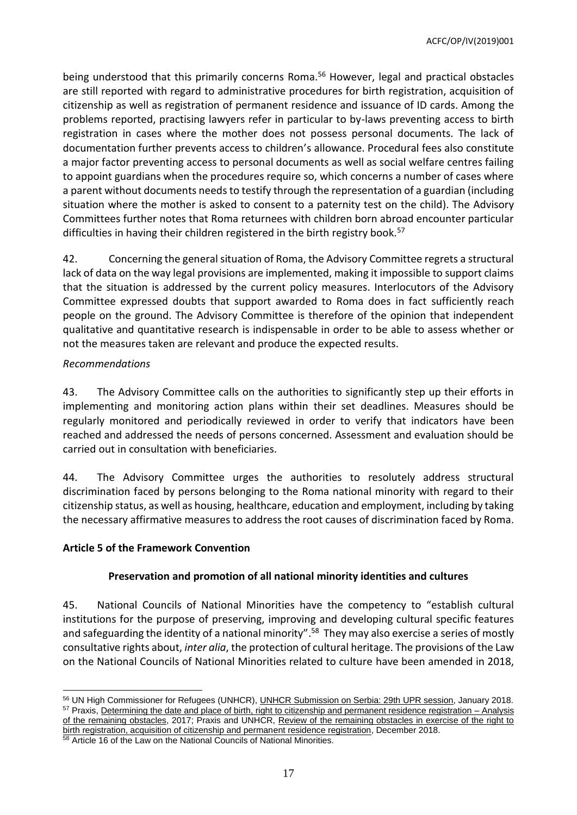being understood that this primarily concerns Roma. <sup>56</sup> However, legal and practical obstacles are still reported with regard to administrative procedures for birth registration, acquisition of citizenship as well as registration of permanent residence and issuance of ID cards. Among the problems reported, practising lawyers refer in particular to by-laws preventing access to birth registration in cases where the mother does not possess personal documents. The lack of documentation further prevents access to children's allowance. Procedural fees also constitute a major factor preventing access to personal documents as well as social welfare centres failing to appoint guardians when the procedures require so, which concerns a number of cases where a parent without documents needs to testify through the representation of a guardian (including situation where the mother is asked to consent to a paternity test on the child). The Advisory Committees further notes that Roma returnees with children born abroad encounter particular difficulties in having their children registered in the birth registry book.<sup>57</sup>

42. Concerning the general situation of Roma, the Advisory Committee regrets a structural lack of data on the way legal provisions are implemented, making it impossible to support claims that the situation is addressed by the current policy measures. Interlocutors of the Advisory Committee expressed doubts that support awarded to Roma does in fact sufficiently reach people on the ground. The Advisory Committee is therefore of the opinion that independent qualitative and quantitative research is indispensable in order to be able to assess whether or not the measures taken are relevant and produce the expected results.

#### *Recommendations*

43. The Advisory Committee calls on the authorities to significantly step up their efforts in implementing and monitoring action plans within their set deadlines. Measures should be regularly monitored and periodically reviewed in order to verify that indicators have been reached and addressed the needs of persons concerned. Assessment and evaluation should be carried out in consultation with beneficiaries.

44. The Advisory Committee urges the authorities to resolutely address structural discrimination faced by persons belonging to the Roma national minority with regard to their citizenship status, as well as housing, healthcare, education and employment, including by taking the necessary affirmative measures to address the root causes of discrimination faced by Roma.

## <span id="page-16-0"></span>**Article 5 of the Framework Convention**

## **Preservation and promotion of all national minority identities and cultures**

45. National Councils of National Minorities have the competency to "establish cultural institutions for the purpose of preserving, improving and developing cultural specific features and safeguarding the identity of a national minority".<sup>58</sup> They may also exercise a series of mostly consultative rights about, *inter alia*, the protection of cultural heritage. The provisions of the Law on the National Councils of National Minorities related to culture have been amended in 2018,

 <sup>56</sup> UN High Commissioner for Refugees (UNHCR), [UNHCR Submission on Serbia: 29th UPR session,](https://www.refworld.org/docid/5b081b974.html) January 2018. <sup>57</sup> Praxis, [Determining the date and place of birth, right to citizenship and permanent residence registration –](https://www.praxis.org.rs/images/praxis_downloads/UNHCR_izvestaj_2017.pdf) Analysis [of the remaining obstacles,](https://www.praxis.org.rs/images/praxis_downloads/UNHCR_izvestaj_2017.pdf) 2017; Praxis and UNHCR, Review of the remaining obstacles in exercise of the right to [birth registration, acquisition of citizenship and permanent residence registration,](https://www.praxis.org.rs/images/praxis_downloads/Review_of_the_remaining_obstacles.pdf) December 2018.

<sup>58</sup> Article 16 of the Law on the National Councils of National Minorities.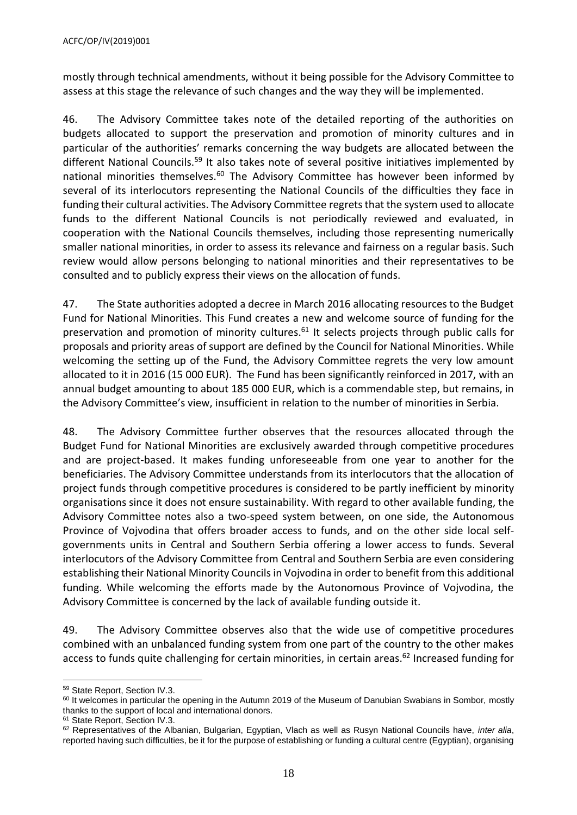mostly through technical amendments, without it being possible for the Advisory Committee to assess at this stage the relevance of such changes and the way they will be implemented.

46. The Advisory Committee takes note of the detailed reporting of the authorities on budgets allocated to support the preservation and promotion of minority cultures and in particular of the authorities' remarks concerning the way budgets are allocated between the different National Councils.<sup>59</sup> It also takes note of several positive initiatives implemented by national minorities themselves. $60$  The Advisory Committee has however been informed by several of its interlocutors representing the National Councils of the difficulties they face in funding their cultural activities. The Advisory Committee regretsthat the system used to allocate funds to the different National Councils is not periodically reviewed and evaluated, in cooperation with the National Councils themselves, including those representing numerically smaller national minorities, in order to assess its relevance and fairness on a regular basis. Such review would allow persons belonging to national minorities and their representatives to be consulted and to publicly express their views on the allocation of funds.

47. The State authorities adopted a decree in March 2016 allocating resources to the Budget Fund for National Minorities. This Fund creates a new and welcome source of funding for the preservation and promotion of minority cultures.<sup>61</sup> It selects projects through public calls for proposals and priority areas of support are defined by the Council for National Minorities. While welcoming the setting up of the Fund, the Advisory Committee regrets the very low amount allocated to it in 2016 (15 000 EUR). The Fund has been significantly reinforced in 2017, with an annual budget amounting to about 185 000 EUR, which is a commendable step, but remains, in the Advisory Committee's view, insufficient in relation to the number of minorities in Serbia.

48. The Advisory Committee further observes that the resources allocated through the Budget Fund for National Minorities are exclusively awarded through competitive procedures and are project-based. It makes funding unforeseeable from one year to another for the beneficiaries. The Advisory Committee understands from its interlocutors that the allocation of project funds through competitive procedures is considered to be partly inefficient by minority organisations since it does not ensure sustainability. With regard to other available funding, the Advisory Committee notes also a two-speed system between, on one side, the Autonomous Province of Vojvodina that offers broader access to funds, and on the other side local selfgovernments units in Central and Southern Serbia offering a lower access to funds. Several interlocutors of the Advisory Committee from Central and Southern Serbia are even considering establishing their National Minority Councils in Vojvodina in order to benefit from this additional funding. While welcoming the efforts made by the Autonomous Province of Vojvodina, the Advisory Committee is concerned by the lack of available funding outside it.

49. The Advisory Committee observes also that the wide use of competitive procedures combined with an unbalanced funding system from one part of the country to the other makes access to funds quite challenging for certain minorities, in certain areas.<sup>62</sup> Increased funding for

<sup>61</sup> State Report, Section IV.3.

 $\overline{a}$ <sup>59</sup> State Report, Section IV.3.

<sup>&</sup>lt;sup>60</sup> It welcomes in particular the opening in the Autumn 2019 of the Museum of Danubian Swabians in Sombor, mostly thanks to the support of local and international donors.

<sup>62</sup> Representatives of the Albanian, Bulgarian, Egyptian, Vlach as well as Rusyn National Councils have, *inter alia*, reported having such difficulties, be it for the purpose of establishing or funding a cultural centre (Egyptian), organising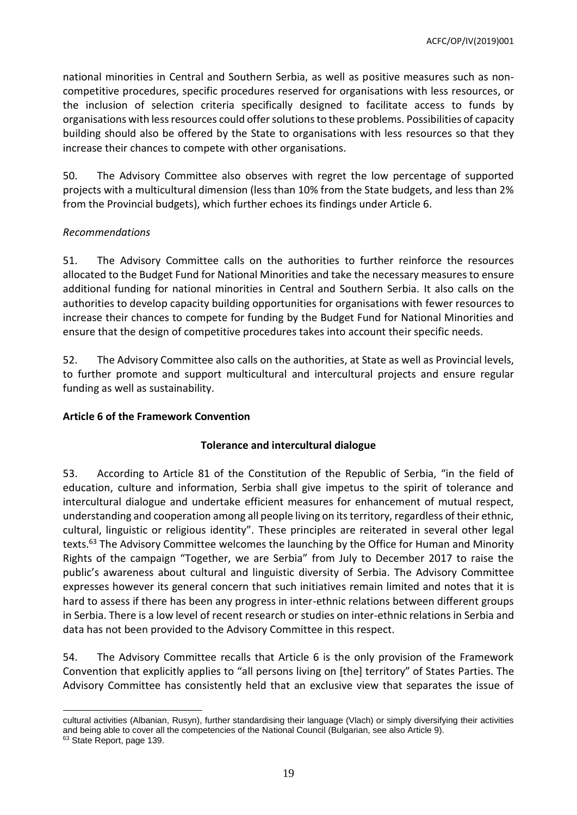national minorities in Central and Southern Serbia, as well as positive measures such as noncompetitive procedures, specific procedures reserved for organisations with less resources, or the inclusion of selection criteria specifically designed to facilitate access to funds by organisations with less resources could offer solutions to these problems. Possibilities of capacity building should also be offered by the State to organisations with less resources so that they increase their chances to compete with other organisations.

50. The Advisory Committee also observes with regret the low percentage of supported projects with a multicultural dimension (less than 10% from the State budgets, and less than 2% from the Provincial budgets), which further echoes its findings under Article 6.

## *Recommendations*

51. The Advisory Committee calls on the authorities to further reinforce the resources allocated to the Budget Fund for National Minorities and take the necessary measures to ensure additional funding for national minorities in Central and Southern Serbia. It also calls on the authorities to develop capacity building opportunities for organisations with fewer resources to increase their chances to compete for funding by the Budget Fund for National Minorities and ensure that the design of competitive procedures takes into account their specific needs.

52. The Advisory Committee also calls on the authorities, at State as well as Provincial levels, to further promote and support multicultural and intercultural projects and ensure regular funding as well as sustainability.

#### <span id="page-18-0"></span>**Article 6 of the Framework Convention**

## **Tolerance and intercultural dialogue**

53. According to Article 81 of the Constitution of the Republic of Serbia, "in the field of education, culture and information, Serbia shall give impetus to the spirit of tolerance and intercultural dialogue and undertake efficient measures for enhancement of mutual respect, understanding and cooperation among all people living on its territory, regardless of their ethnic, cultural, linguistic or religious identity". These principles are reiterated in several other legal texts. <sup>63</sup> The Advisory Committee welcomes the launching by the Office for Human and Minority Rights of the campaign "Together, we are Serbia" from July to December 2017 to raise the public's awareness about cultural and linguistic diversity of Serbia. The Advisory Committee expresses however its general concern that such initiatives remain limited and notes that it is hard to assess if there has been any progress in inter-ethnic relations between different groups in Serbia. There is a low level of recent research or studies on inter-ethnic relations in Serbia and data has not been provided to the Advisory Committee in this respect.

54. The Advisory Committee recalls that Article 6 is the only provision of the Framework Convention that explicitly applies to "all persons living on [the] territory" of States Parties. The Advisory Committee has consistently held that an exclusive view that separates the issue of

 $\overline{a}$ 

cultural activities (Albanian, Rusyn), further standardising their language (Vlach) or simply diversifying their activities and being able to cover all the competencies of the National Council (Bulgarian, see also Article 9).

<sup>&</sup>lt;sup>63</sup> State Report, page 139.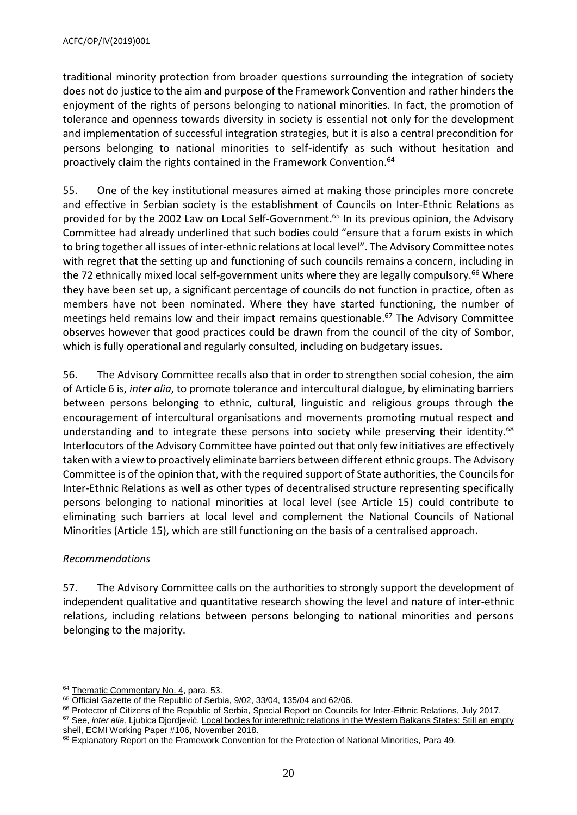traditional minority protection from broader questions surrounding the integration of society does not do justice to the aim and purpose of the Framework Convention and rather hinders the enjoyment of the rights of persons belonging to national minorities. In fact, the promotion of tolerance and openness towards diversity in society is essential not only for the development and implementation of successful integration strategies, but it is also a central precondition for persons belonging to national minorities to self-identify as such without hesitation and proactively claim the rights contained in the Framework Convention.<sup>64</sup>

55. One of the key institutional measures aimed at making those principles more concrete and effective in Serbian society is the establishment of Councils on Inter-Ethnic Relations as provided for by the 2002 Law on Local Self-Government. <sup>65</sup> In its previous opinion, the Advisory Committee had already underlined that such bodies could "ensure that a forum exists in which to bring together all issues of inter-ethnic relations at local level". The Advisory Committee notes with regret that the setting up and functioning of such councils remains a concern, including in the 72 ethnically mixed local self-government units where they are legally compulsory.<sup>66</sup> Where they have been set up, a significant percentage of councils do not function in practice, often as members have not been nominated. Where they have started functioning, the number of meetings held remains low and their impact remains questionable. <sup>67</sup> The Advisory Committee observes however that good practices could be drawn from the council of the city of Sombor, which is fully operational and regularly consulted, including on budgetary issues.

56. The Advisory Committee recalls also that in order to strengthen social cohesion, the aim of Article 6 is, *inter alia*, to promote tolerance and intercultural dialogue, by eliminating barriers between persons belonging to ethnic, cultural, linguistic and religious groups through the encouragement of intercultural organisations and movements promoting mutual respect and understanding and to integrate these persons into society while preserving their identity.<sup>68</sup> Interlocutors of the Advisory Committee have pointed out that only few initiatives are effectively taken with a view to proactively eliminate barriers between different ethnic groups. The Advisory Committee is of the opinion that, with the required support of State authorities, the Councils for Inter-Ethnic Relations as well as other types of decentralised structure representing specifically persons belonging to national minorities at local level (see Article 15) could contribute to eliminating such barriers at local level and complement the National Councils of National Minorities (Article 15), which are still functioning on the basis of a centralised approach.

#### *Recommendations*

57. The Advisory Committee calls on the authorities to strongly support the development of independent qualitative and quantitative research showing the level and nature of inter-ethnic relations, including relations between persons belonging to national minorities and persons belonging to the majority.

 $\overline{a}$ <sup>64</sup> [Thematic Commentary No. 4,](https://rm.coe.int/CoERMPublicCommonSearchServices/DisplayDCTMContent?documentId=09000016806a4811) para. 53.

<sup>&</sup>lt;sup>65</sup> Official Gazette of the Republic of Serbia, 9/02, 33/04, 135/04 and 62/06.

<sup>66</sup> Protector of Citizens of the Republic of Serbia, Special Report on Councils for Inter-Ethnic Relations, July 2017.

<sup>67</sup> See, *inter alia*, Ljubica Djordjević, [Local bodies for interethnic relations in the Western Balkans States: Still an empty](https://www.ecmi.de/uploads/tx_lfpubdb/WP__106_Local_Bodies_for_Interethnic_Relations_in_the_Western_Balkan_States.pdf)  [shell,](https://www.ecmi.de/uploads/tx_lfpubdb/WP__106_Local_Bodies_for_Interethnic_Relations_in_the_Western_Balkan_States.pdf) ECMI Working Paper #106, November 2018.

 $68$  Explanatory Report on the Framework Convention for the Protection of National Minorities, Para 49.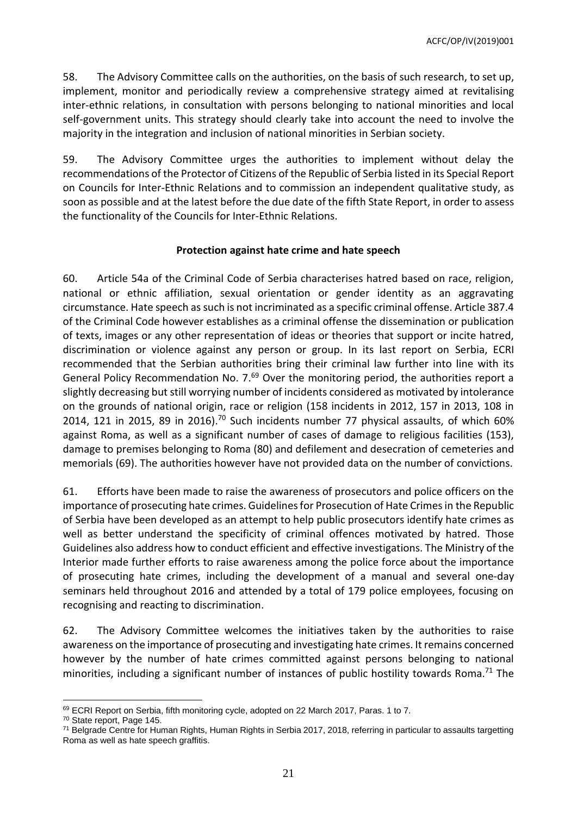58. The Advisory Committee calls on the authorities, on the basis of such research, to set up, implement, monitor and periodically review a comprehensive strategy aimed at revitalising inter-ethnic relations, in consultation with persons belonging to national minorities and local self-government units. This strategy should clearly take into account the need to involve the majority in the integration and inclusion of national minorities in Serbian society.

59. The Advisory Committee urges the authorities to implement without delay the recommendations of the Protector of Citizens of the Republic of Serbia listed in its Special Report on Councils for Inter-Ethnic Relations and to commission an independent qualitative study, as soon as possible and at the latest before the due date of the fifth State Report, in order to assess the functionality of the Councils for Inter-Ethnic Relations.

#### **Protection against hate crime and hate speech**

60. Article 54a of the Criminal Code of Serbia characterises hatred based on race, religion, national or ethnic affiliation, sexual orientation or gender identity as an aggravating circumstance. Hate speech as such is not incriminated as a specific criminal offense. Article 387.4 of the Criminal Code however establishes as a criminal offense the dissemination or publication of texts, images or any other representation of ideas or theories that support or incite hatred, discrimination or violence against any person or group. In its last report on Serbia, ECRI recommended that the Serbian authorities bring their criminal law further into line with its General Policy Recommendation No. 7.<sup>69</sup> Over the monitoring period, the authorities report a slightly decreasing but still worrying number of incidents considered as motivated by intolerance on the grounds of national origin, race or religion (158 incidents in 2012, 157 in 2013, 108 in 2014, 121 in 2015, 89 in 2016).<sup>70</sup> Such incidents number 77 physical assaults, of which 60% against Roma, as well as a significant number of cases of damage to religious facilities (153), damage to premises belonging to Roma (80) and defilement and desecration of cemeteries and memorials (69). The authorities however have not provided data on the number of convictions.

61. Efforts have been made to raise the awareness of prosecutors and police officers on the importance of prosecuting hate crimes. Guidelines for Prosecution of Hate Crimes in the Republic of Serbia have been developed as an attempt to help public prosecutors identify hate crimes as well as better understand the specificity of criminal offences motivated by hatred. Those Guidelines also address how to conduct efficient and effective investigations. The Ministry of the Interior made further efforts to raise awareness among the police force about the importance of prosecuting hate crimes, including the development of a manual and several one-day seminars held throughout 2016 and attended by a total of 179 police employees, focusing on recognising and reacting to discrimination.

62. The Advisory Committee welcomes the initiatives taken by the authorities to raise awareness on the importance of prosecuting and investigating hate crimes. It remains concerned however by the number of hate crimes committed against persons belonging to national minorities, including a significant number of instances of public hostility towards Roma.<sup>71</sup> The

 $\overline{a}$ 69 ECRI Report on Serbia, fifth monitoring cycle, adopted on 22 March 2017, Paras. 1 to 7.

<sup>70</sup> State report, Page 145.

<sup>71</sup> Belgrade Centre for Human Rights, Human Rights in Serbia 2017, 2018, referring in particular to assaults targetting Roma as well as hate speech graffitis.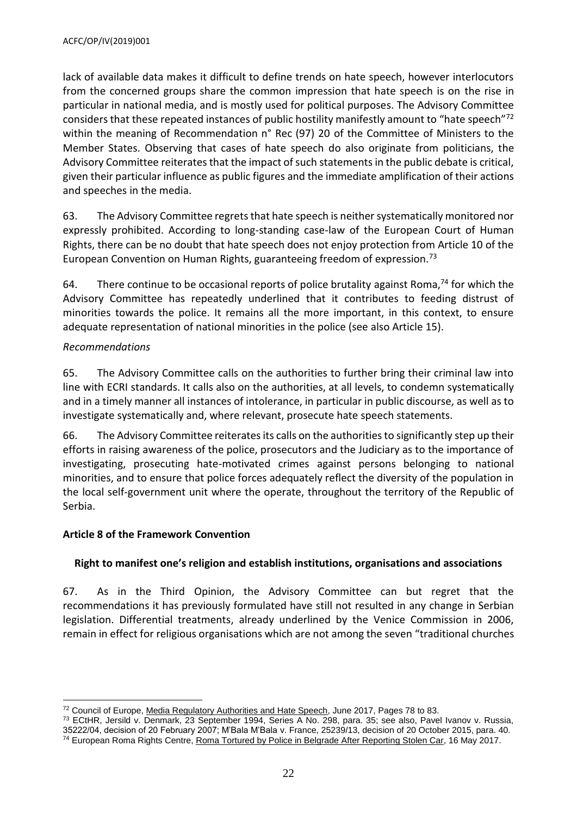lack of available data makes it difficult to define trends on hate speech, however interlocutors from the concerned groups share the common impression that hate speech is on the rise in particular in national media, and is mostly used for political purposes. The Advisory Committee considers that these repeated instances of public hostility manifestly amount to "hate speech"<sup>72</sup> within the meaning of Recommendation n° Rec (97) 20 of the Committee of Ministers to the Member States. Observing that cases of hate speech do also originate from politicians, the Advisory Committee reiterates that the impact of such statements in the public debate is critical, given their particular influence as public figures and the immediate amplification of their actions and speeches in the media.

63. The Advisory Committee regrets that hate speech is neither systematically monitored nor expressly prohibited. According to long-standing case-law of the European Court of Human Rights, there can be no doubt that hate speech does not enjoy protection from Article 10 of the European Convention on Human Rights, guaranteeing freedom of expression.<sup>73</sup>

64. There continue to be occasional reports of police brutality against Roma,<sup>74</sup> for which the Advisory Committee has repeatedly underlined that it contributes to feeding distrust of minorities towards the police. It remains all the more important, in this context, to ensure adequate representation of national minorities in the police (see also Article 15).

# *Recommendations*

65. The Advisory Committee calls on the authorities to further bring their criminal law into line with ECRI standards. It calls also on the authorities, at all levels, to condemn systematically and in a timely manner all instances of intolerance, in particular in public discourse, as well as to investigate systematically and, where relevant, prosecute hate speech statements.

66. The Advisory Committee reiterates its calls on the authorities to significantly step up their efforts in raising awareness of the police, prosecutors and the Judiciary as to the importance of investigating, prosecuting hate-motivated crimes against persons belonging to national minorities, and to ensure that police forces adequately reflect the diversity of the population in the local self-government unit where the operate, throughout the territory of the Republic of Serbia.

## <span id="page-21-0"></span>**Article 8 of the Framework Convention**

# **Right to manifest one's religion and establish institutions, organisations and associations**

67. As in the Third Opinion, the Advisory Committee can but regret that the recommendations it has previously formulated have still not resulted in any change in Serbian legislation. Differential treatments, already underlined by the Venice Commission in 2006, remain in effect for religious organisations which are not among the seven "traditional churches

 $\overline{a}$ 72 Council of Europe[, Media Regulatory Authorities and Hate Speech,](https://rm.coe.int/media-regulatory-authorities-and-hate-speech/16807338f5) June 2017, Pages 78 to 83.

<sup>73</sup> ECtHR, Jersild v. Denmark, 23 September 1994, Series A No. 298, para. 35; see also, Pavel Ivanov v. Russia, 35222/04, decision of 20 February 2007; M'Bala M'Bala v. France, 25239/13, decision of 20 October 2015, para. 40. <sup>74</sup> European Roma Rights Centre, [Roma Tortured by Police in Belgrade After Reporting Stolen Car,](http://www.errc.org/press-releases/roma-tortured-by-police-in-belgrade-after-reporting-stolen-car) 16 May 2017.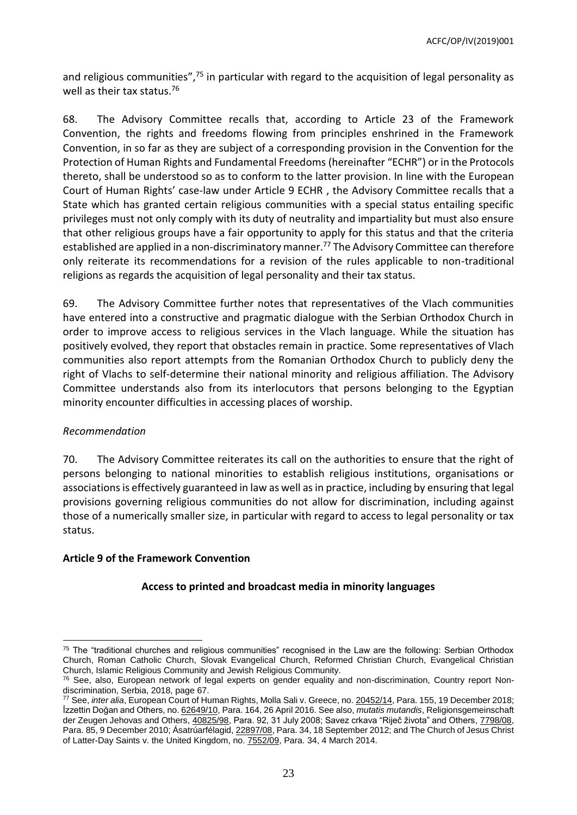and religious communities",<sup>75</sup> in particular with regard to the acquisition of legal personality as well as their tax status.<sup>76</sup>

68. The Advisory Committee recalls that, according to Article 23 of the Framework Convention, the rights and freedoms flowing from principles enshrined in the Framework Convention, in so far as they are subject of a corresponding provision in the Convention for the Protection of Human Rights and Fundamental Freedoms (hereinafter "ECHR") or in the Protocols thereto, shall be understood so as to conform to the latter provision. In line with the European Court of Human Rights' case-law under Article 9 ECHR , the Advisory Committee recalls that a State which has granted certain religious communities with a special status entailing specific privileges must not only comply with its duty of neutrality and impartiality but must also ensure that other religious groups have a fair opportunity to apply for this status and that the criteria established are applied in a non-discriminatory manner.<sup>77</sup> The Advisory Committee can therefore only reiterate its recommendations for a revision of the rules applicable to non-traditional religions as regards the acquisition of legal personality and their tax status.

69. The Advisory Committee further notes that representatives of the Vlach communities have entered into a constructive and pragmatic dialogue with the Serbian Orthodox Church in order to improve access to religious services in the Vlach language. While the situation has positively evolved, they report that obstacles remain in practice. Some representatives of Vlach communities also report attempts from the Romanian Orthodox Church to publicly deny the right of Vlachs to self-determine their national minority and religious affiliation. The Advisory Committee understands also from its interlocutors that persons belonging to the Egyptian minority encounter difficulties in accessing places of worship.

## *Recommendation*

70. The Advisory Committee reiterates its call on the authorities to ensure that the right of persons belonging to national minorities to establish religious institutions, organisations or associations is effectively guaranteed in law as well as in practice, including by ensuring that legal provisions governing religious communities do not allow for discrimination, including against those of a numerically smaller size, in particular with regard to access to legal personality or tax status.

## <span id="page-22-0"></span>**Article 9 of the Framework Convention**

## **Access to printed and broadcast media in minority languages**

 $75$  The "traditional churches and religious communities" recognised in the Law are the following: Serbian Orthodox Church, Roman Catholic Church, Slovak Evangelical Church, Reformed Christian Church, Evangelical Christian Church, Islamic Religious Community and Jewish Religious Community.

<sup>&</sup>lt;sup>76</sup> See, also, European network of legal experts on gender equality and non-discrimination, Country report Nondiscrimination, Serbia, 2018, page 67.

<sup>77</sup> See, *inter alia*, European Court of Human Rights, Molla Sali v. Greece, no[. 20452/14,](https://hudoc.echr.coe.int/eng#{%22itemid%22:[%22001-188985%22]}) Para. 155, 19 December 2018; İzzettin Doğan and Others, no[. 62649/10,](http://hudoc.echr.coe.int/eng?i=001-162697) Para. 164, 26 April 2016. See also, *mutatis mutandis*, Religionsgemeinschaft der Zeugen Jehovas and Others[, 40825/98,](http://hudoc.echr.coe.int/eng?i=001-88022) Para. 92, 31 July 2008; Savez crkava "Riječ života" and Others, [7798/08,](http://hudoc.echr.coe.int/eng?i=001-102173) Para. 85, 9 December 2010; Ásatrúarfélagid[, 22897/08,](http://hudoc.echr.coe.int/eng?i=001-113920) Para. 34, 18 September 2012; and The Church of Jesus Christ of Latter-Day Saints v. the United Kingdom, no[. 7552/09,](http://hudoc.echr.coe.int/eng?i=001-141369) Para. 34, 4 March 2014.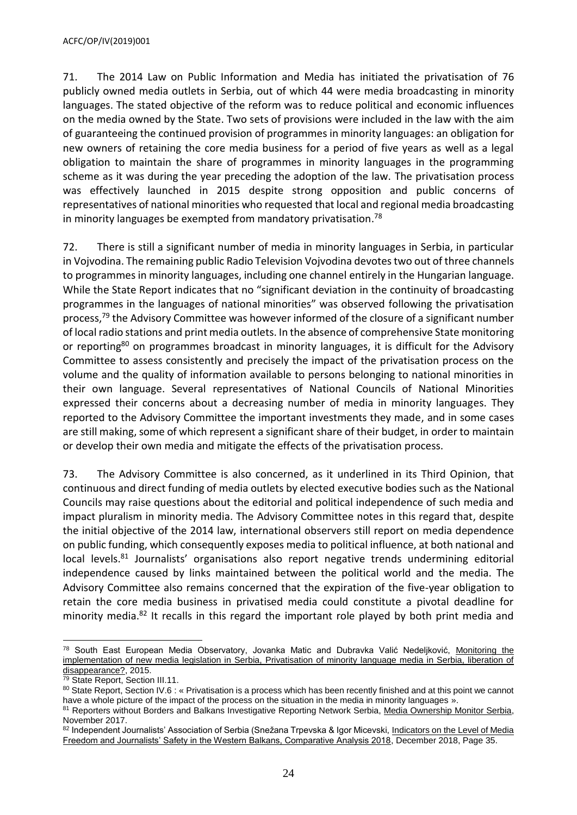71. The 2014 Law on Public Information and Media has initiated the privatisation of 76 publicly owned media outlets in Serbia, out of which 44 were media broadcasting in minority languages. The stated objective of the reform was to reduce political and economic influences on the media owned by the State. Two sets of provisions were included in the law with the aim of guaranteeing the continued provision of programmes in minority languages: an obligation for new owners of retaining the core media business for a period of five years as well as a legal obligation to maintain the share of programmes in minority languages in the programming scheme as it was during the year preceding the adoption of the law. The privatisation process was effectively launched in 2015 despite strong opposition and public concerns of representatives of national minorities who requested that local and regional media broadcasting in minority languages be exempted from mandatory privatisation.<sup>78</sup>

72. There is still a significant number of media in minority languages in Serbia, in particular in Vojvodina. The remaining public Radio Television Vojvodina devotes two out of three channels to programmes in minority languages, including one channel entirely in the Hungarian language. While the State Report indicates that no "significant deviation in the continuity of broadcasting programmes in the languages of national minorities" was observed following the privatisation process,<sup>79</sup> the Advisory Committee was however informed of the closure of a significant number of local radio stations and print media outlets. In the absence of comprehensive State monitoring or reporting<sup>80</sup> on programmes broadcast in minority languages, it is difficult for the Advisory Committee to assess consistently and precisely the impact of the privatisation process on the volume and the quality of information available to persons belonging to national minorities in their own language. Several representatives of National Councils of National Minorities expressed their concerns about a decreasing number of media in minority languages. They reported to the Advisory Committee the important investments they made, and in some cases are still making, some of which represent a significant share of their budget, in order to maintain or develop their own media and mitigate the effects of the privatisation process.

73. The Advisory Committee is also concerned, as it underlined in its Third Opinion, that continuous and direct funding of media outlets by elected executive bodies such as the National Councils may raise questions about the editorial and political independence of such media and impact pluralism in minority media. The Advisory Committee notes in this regard that, despite the initial objective of the 2014 law, international observers still report on media dependence on public funding, which consequently exposes media to political influence, at both national and local levels.<sup>81</sup> Journalists' organisations also report negative trends undermining editorial independence caused by links maintained between the political world and the media. The Advisory Committee also remains concerned that the expiration of the five-year obligation to retain the core media business in privatised media could constitute a pivotal deadline for minority media.<sup>82</sup> It recalls in this regard the important role played by both print media and

 <sup>78</sup> South East European Media Observatory, Jovanka Matic and Dubravka Valić Nedeljković, <u>Monitoring the</u> [implementation of new media legislation in Serbia, Privatisation of minority language media in Serbia, liberation of](http://mediaobservatory.net/sites/default/files/Serbia-Privatisation%20of%20Minority%20Language%20Media.pdf)  [disappearance?,](http://mediaobservatory.net/sites/default/files/Serbia-Privatisation%20of%20Minority%20Language%20Media.pdf) 2015.

<sup>&</sup>lt;sup>79</sup> State Report, Section III.11.

<sup>80</sup> State Report, Section IV.6 : « Privatisation is a process which has been recently finished and at this point we cannot have a whole picture of the impact of the process on the situation in the media in minority languages ».

<sup>81</sup> Reporters without Borders and Balkans Investigative Reporting Network Serbia, [Media Ownership Monitor Serbia,](http://serbia.mom-rsf.org/en/) November 2017.

<sup>82</sup> Independent Journalists' Association of Serbia (Snežana Trpevska & Igor Micevski, Indicators on the Level of Media [Freedom and Journalists' Safety in the Western Balkans, Comparative Analysis 2018,](http://safejournalists.net/wp-content/uploads/2018/12/indicators_on_the_level_of_media_freedom_WB_2018.pdf) December 2018, Page 35.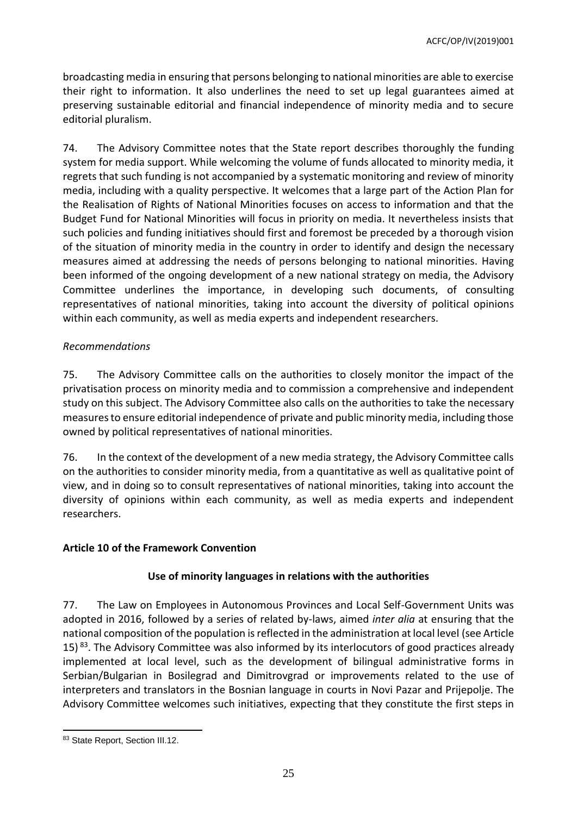broadcasting media in ensuring that persons belonging to national minorities are able to exercise their right to information. It also underlines the need to set up legal guarantees aimed at preserving sustainable editorial and financial independence of minority media and to secure editorial pluralism.

74. The Advisory Committee notes that the State report describes thoroughly the funding system for media support. While welcoming the volume of funds allocated to minority media, it regrets that such funding is not accompanied by a systematic monitoring and review of minority media, including with a quality perspective. It welcomes that a large part of the Action Plan for the Realisation of Rights of National Minorities focuses on access to information and that the Budget Fund for National Minorities will focus in priority on media. It nevertheless insists that such policies and funding initiatives should first and foremost be preceded by a thorough vision of the situation of minority media in the country in order to identify and design the necessary measures aimed at addressing the needs of persons belonging to national minorities. Having been informed of the ongoing development of a new national strategy on media, the Advisory Committee underlines the importance, in developing such documents, of consulting representatives of national minorities, taking into account the diversity of political opinions within each community, as well as media experts and independent researchers.

# *Recommendations*

75. The Advisory Committee calls on the authorities to closely monitor the impact of the privatisation process on minority media and to commission a comprehensive and independent study on this subject. The Advisory Committee also calls on the authorities to take the necessary measures to ensure editorial independence of private and public minority media, including those owned by political representatives of national minorities.

76. In the context of the development of a new media strategy, the Advisory Committee calls on the authorities to consider minority media, from a quantitative as well as qualitative point of view, and in doing so to consult representatives of national minorities, taking into account the diversity of opinions within each community, as well as media experts and independent researchers.

## <span id="page-24-0"></span>**Article 10 of the Framework Convention**

# **Use of minority languages in relations with the authorities**

77. The Law on Employees in Autonomous Provinces and Local Self-Government Units was adopted in 2016, followed by a series of related by-laws, aimed *inter alia* at ensuring that the national composition of the population is reflected in the administration at local level (see Article 15)  $^{83}$ . The Advisory Committee was also informed by its interlocutors of good practices already implemented at local level, such as the development of bilingual administrative forms in Serbian/Bulgarian in Bosilegrad and Dimitrovgrad or improvements related to the use of interpreters and translators in the Bosnian language in courts in Novi Pazar and Prijepolje. The Advisory Committee welcomes such initiatives, expecting that they constitute the first steps in

 83 State Report, Section III.12.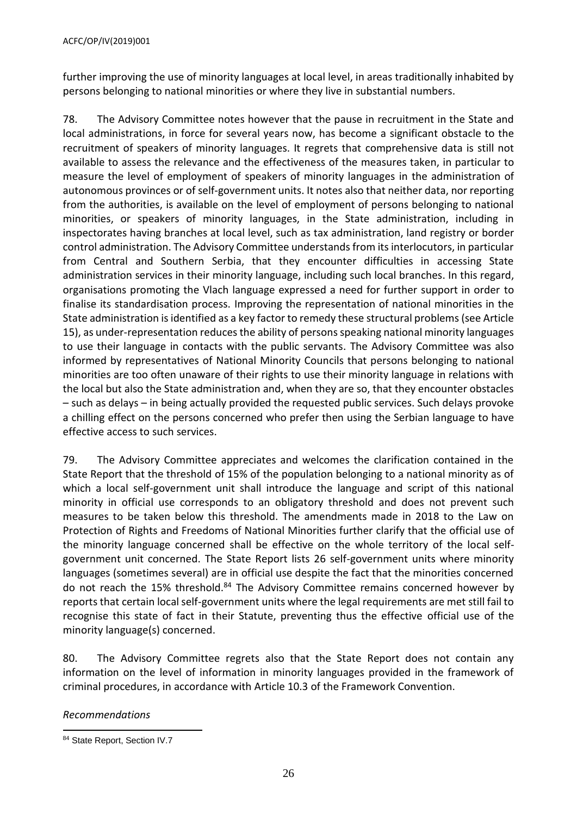further improving the use of minority languages at local level, in areas traditionally inhabited by persons belonging to national minorities or where they live in substantial numbers.

78. The Advisory Committee notes however that the pause in recruitment in the State and local administrations, in force for several years now, has become a significant obstacle to the recruitment of speakers of minority languages. It regrets that comprehensive data is still not available to assess the relevance and the effectiveness of the measures taken, in particular to measure the level of employment of speakers of minority languages in the administration of autonomous provinces or of self-government units. It notes also that neither data, nor reporting from the authorities, is available on the level of employment of persons belonging to national minorities, or speakers of minority languages, in the State administration, including in inspectorates having branches at local level, such as tax administration, land registry or border control administration. The Advisory Committee understands from its interlocutors, in particular from Central and Southern Serbia, that they encounter difficulties in accessing State administration services in their minority language, including such local branches. In this regard, organisations promoting the Vlach language expressed a need for further support in order to finalise its standardisation process. Improving the representation of national minorities in the State administration is identified as a key factor to remedy these structural problems (see Article 15), as under-representation reduces the ability of persons speaking national minority languages to use their language in contacts with the public servants. The Advisory Committee was also informed by representatives of National Minority Councils that persons belonging to national minorities are too often unaware of their rights to use their minority language in relations with the local but also the State administration and, when they are so, that they encounter obstacles – such as delays – in being actually provided the requested public services. Such delays provoke a chilling effect on the persons concerned who prefer then using the Serbian language to have effective access to such services.

79. The Advisory Committee appreciates and welcomes the clarification contained in the State Report that the threshold of 15% of the population belonging to a national minority as of which a local self-government unit shall introduce the language and script of this national minority in official use corresponds to an obligatory threshold and does not prevent such measures to be taken below this threshold. The amendments made in 2018 to the Law on Protection of Rights and Freedoms of National Minorities further clarify that the official use of the minority language concerned shall be effective on the whole territory of the local selfgovernment unit concerned. The State Report lists 26 self-government units where minority languages (sometimes several) are in official use despite the fact that the minorities concerned do not reach the 15% threshold.<sup>84</sup> The Advisory Committee remains concerned however by reports that certain local self-government units where the legal requirements are met still fail to recognise this state of fact in their Statute, preventing thus the effective official use of the minority language(s) concerned.

80. The Advisory Committee regrets also that the State Report does not contain any information on the level of information in minority languages provided in the framework of criminal procedures, in accordance with Article 10.3 of the Framework Convention.

*Recommendations*

 84 State Report, Section IV.7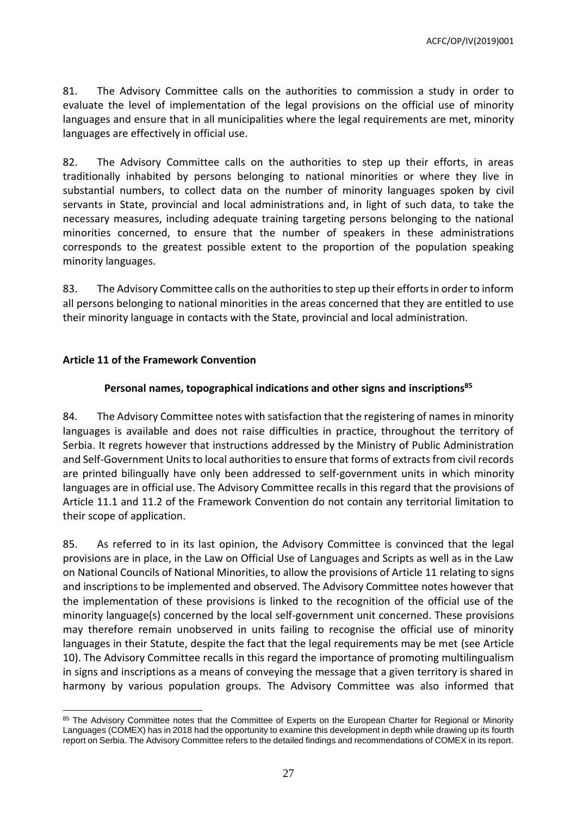81. The Advisory Committee calls on the authorities to commission a study in order to evaluate the level of implementation of the legal provisions on the official use of minority languages and ensure that in all municipalities where the legal requirements are met, minority languages are effectively in official use.

82. The Advisory Committee calls on the authorities to step up their efforts, in areas traditionally inhabited by persons belonging to national minorities or where they live in substantial numbers, to collect data on the number of minority languages spoken by civil servants in State, provincial and local administrations and, in light of such data, to take the necessary measures, including adequate training targeting persons belonging to the national minorities concerned, to ensure that the number of speakers in these administrations corresponds to the greatest possible extent to the proportion of the population speaking minority languages.

83. The Advisory Committee calls on the authorities to step up their efforts in order to inform all persons belonging to national minorities in the areas concerned that they are entitled to use their minority language in contacts with the State, provincial and local administration.

## <span id="page-26-0"></span>**Article 11 of the Framework Convention**

 $\overline{a}$ 

#### **Personal names, topographical indications and other signs and inscriptions<sup>85</sup>**

84. The Advisory Committee notes with satisfaction that the registering of names in minority languages is available and does not raise difficulties in practice, throughout the territory of Serbia. It regrets however that instructions addressed by the Ministry of Public Administration and Self-Government Units to local authorities to ensure that forms of extracts from civil records are printed bilingually have only been addressed to self-government units in which minority languages are in official use. The Advisory Committee recalls in this regard that the provisions of Article 11.1 and 11.2 of the Framework Convention do not contain any territorial limitation to their scope of application.

85. As referred to in its last opinion, the Advisory Committee is convinced that the legal provisions are in place, in the Law on Official Use of Languages and Scripts as well as in the Law on National Councils of National Minorities, to allow the provisions of Article 11 relating to signs and inscriptions to be implemented and observed. The Advisory Committee notes however that the implementation of these provisions is linked to the recognition of the official use of the minority language(s) concerned by the local self-government unit concerned. These provisions may therefore remain unobserved in units failing to recognise the official use of minority languages in their Statute, despite the fact that the legal requirements may be met (see Article 10). The Advisory Committee recalls in this regard the importance of promoting multilingualism in signs and inscriptions as a means of conveying the message that a given territory is shared in harmony by various population groups. The Advisory Committee was also informed that

<sup>85</sup> The Advisory Committee notes that the Committee of Experts on the European Charter for Regional or Minority Languages (COMEX) has in 2018 had the opportunity to examine this development in depth while drawing up its fourth report on Serbia. The Advisory Committee refers to the detailed findings and recommendations of COMEX in its report.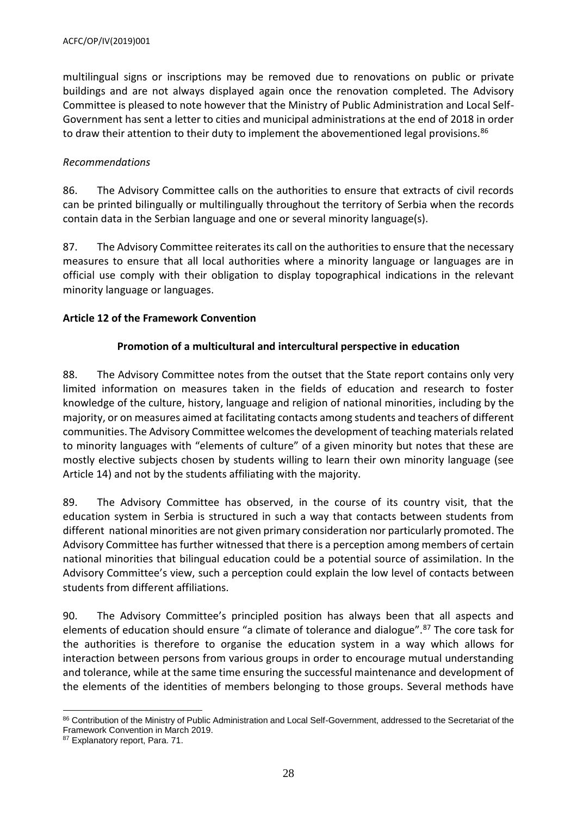multilingual signs or inscriptions may be removed due to renovations on public or private buildings and are not always displayed again once the renovation completed. The Advisory Committee is pleased to note however that the Ministry of Public Administration and Local Self-Government has sent a letter to cities and municipal administrations at the end of 2018 in order to draw their attention to their duty to implement the abovementioned legal provisions.<sup>86</sup>

#### *Recommendations*

86. The Advisory Committee calls on the authorities to ensure that extracts of civil records can be printed bilingually or multilingually throughout the territory of Serbia when the records contain data in the Serbian language and one or several minority language(s).

87. The Advisory Committee reiterates its call on the authorities to ensure that the necessary measures to ensure that all local authorities where a minority language or languages are in official use comply with their obligation to display topographical indications in the relevant minority language or languages.

## <span id="page-27-0"></span>**Article 12 of the Framework Convention**

## **Promotion of a multicultural and intercultural perspective in education**

88. The Advisory Committee notes from the outset that the State report contains only very limited information on measures taken in the fields of education and research to foster knowledge of the culture, history, language and religion of national minorities, including by the majority, or on measures aimed at facilitating contacts among students and teachers of different communities. The Advisory Committee welcomes the development of teaching materials related to minority languages with "elements of culture" of a given minority but notes that these are mostly elective subjects chosen by students willing to learn their own minority language (see Article 14) and not by the students affiliating with the majority.

89. The Advisory Committee has observed, in the course of its country visit, that the education system in Serbia is structured in such a way that contacts between students from different national minorities are not given primary consideration nor particularly promoted. The Advisory Committee has further witnessed that there is a perception among members of certain national minorities that bilingual education could be a potential source of assimilation. In the Advisory Committee's view, such a perception could explain the low level of contacts between students from different affiliations.

90. The Advisory Committee's principled position has always been that all aspects and elements of education should ensure "a climate of tolerance and dialogue".<sup>87</sup> The core task for the authorities is therefore to organise the education system in a way which allows for interaction between persons from various groups in order to encourage mutual understanding and tolerance, while at the same time ensuring the successful maintenance and development of the elements of the identities of members belonging to those groups. Several methods have

 $\overline{a}$ 

<sup>86</sup> Contribution of the Ministry of Public Administration and Local Self-Government, addressed to the Secretariat of the Framework Convention in March 2019.

<sup>87</sup> Explanatory report, Para. 71.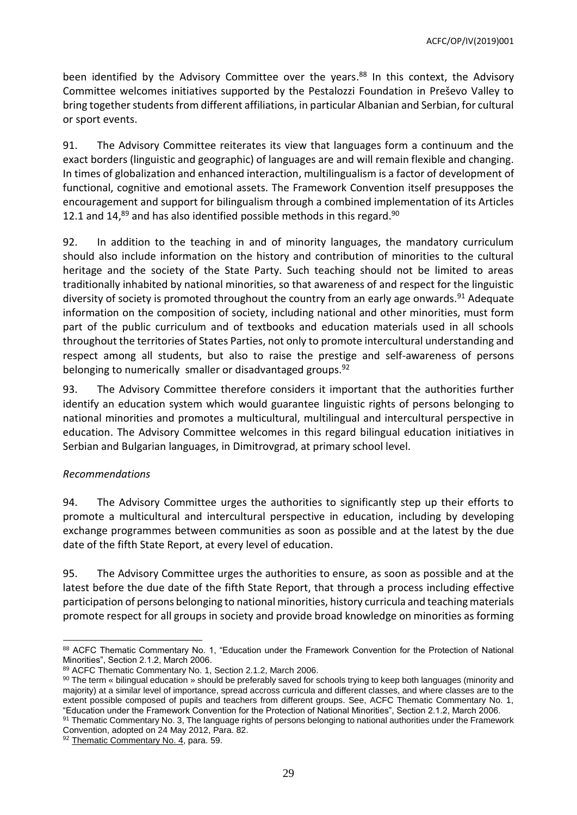been identified by the Advisory Committee over the years. <sup>88</sup> In this context, the Advisory Committee welcomes initiatives supported by the Pestalozzi Foundation in Preševo Valley to bring together students from different affiliations, in particular Albanian and Serbian, for cultural or sport events.

91. The Advisory Committee reiterates its view that languages form a continuum and the exact borders (linguistic and geographic) of languages are and will remain flexible and changing. In times of globalization and enhanced interaction, multilingualism is a factor of development of functional, cognitive and emotional assets. The Framework Convention itself presupposes the encouragement and support for bilingualism through a combined implementation of its Articles 12.1 and 14,<sup>89</sup> and has also identified possible methods in this regard.<sup>90</sup>

92. In addition to the teaching in and of minority languages, the mandatory curriculum should also include information on the history and contribution of minorities to the cultural heritage and the society of the State Party. Such teaching should not be limited to areas traditionally inhabited by national minorities, so that awareness of and respect for the linguistic diversity of society is promoted throughout the country from an early age onwards.<sup>91</sup> Adequate information on the composition of society, including national and other minorities, must form part of the public curriculum and of textbooks and education materials used in all schools throughout the territories of States Parties, not only to promote intercultural understanding and respect among all students, but also to raise the prestige and self-awareness of persons belonging to numerically smaller or disadvantaged groups.<sup>92</sup>

93. The Advisory Committee therefore considers it important that the authorities further identify an education system which would guarantee linguistic rights of persons belonging to national minorities and promotes a multicultural, multilingual and intercultural perspective in education. The Advisory Committee welcomes in this regard bilingual education initiatives in Serbian and Bulgarian languages, in Dimitrovgrad, at primary school level.

## *Recommendations*

94. The Advisory Committee urges the authorities to significantly step up their efforts to promote a multicultural and intercultural perspective in education, including by developing exchange programmes between communities as soon as possible and at the latest by the due date of the fifth State Report, at every level of education.

95. The Advisory Committee urges the authorities to ensure, as soon as possible and at the latest before the due date of the fifth State Report, that through a process including effective participation of persons belonging to national minorities, history curricula and teaching materials promote respect for all groups in society and provide broad knowledge on minorities as forming

92 [Thematic Commentary No. 4,](https://rm.coe.int/CoERMPublicCommonSearchServices/DisplayDCTMContent?documentId=09000016806a4811) para. 59.

 88 ACFC Thematic Commentary No. 1, "Education under the Framework Convention for the Protection of National Minorities", Section 2.1.2, March 2006.

<sup>89</sup> ACFC Thematic Commentary No. 1, Section 2.1.2, March 2006.

<sup>90</sup> The term « bilingual education » should be preferably saved for schools trying to keep both languages (minority and majority) at a similar level of importance, spread accross curricula and different classes, and where classes are to the extent possible composed of pupils and teachers from different groups. See, ACFC Thematic Commentary No. 1, "Education under the Framework Convention for the Protection of National Minorities", Section 2.1.2, March 2006.

<sup>91</sup> Thematic Commentary No. 3, The language rights of persons belonging to national authorities under the Framework Convention, adopted on 24 May 2012, Para. 82.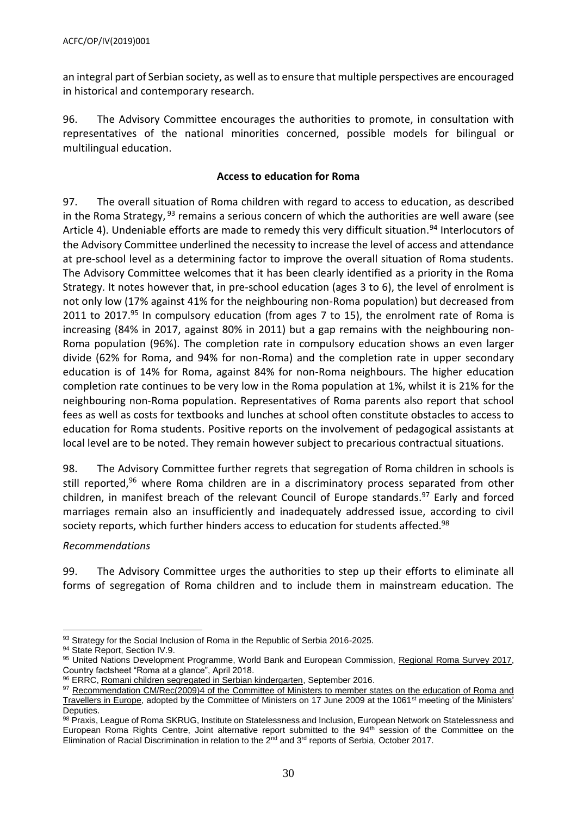an integral part of Serbian society, as well asto ensure that multiple perspectives are encouraged in historical and contemporary research.

96. The Advisory Committee encourages the authorities to promote, in consultation with representatives of the national minorities concerned, possible models for bilingual or multilingual education.

#### **Access to education for Roma**

97. The overall situation of Roma children with regard to access to education, as described in the Roma Strategy,  $93$  remains a serious concern of which the authorities are well aware (see Article 4). Undeniable efforts are made to remedy this very difficult situation.<sup>94</sup> Interlocutors of the Advisory Committee underlined the necessity to increase the level of access and attendance at pre-school level as a determining factor to improve the overall situation of Roma students. The Advisory Committee welcomes that it has been clearly identified as a priority in the Roma Strategy. It notes however that, in pre-school education (ages 3 to 6), the level of enrolment is not only low (17% against 41% for the neighbouring non-Roma population) but decreased from 2011 to 2017.<sup>95</sup> In compulsory education (from ages 7 to 15), the enrolment rate of Roma is increasing (84% in 2017, against 80% in 2011) but a gap remains with the neighbouring non-Roma population (96%). The completion rate in compulsory education shows an even larger divide (62% for Roma, and 94% for non-Roma) and the completion rate in upper secondary education is of 14% for Roma, against 84% for non-Roma neighbours. The higher education completion rate continues to be very low in the Roma population at 1%, whilst it is 21% for the neighbouring non-Roma population. Representatives of Roma parents also report that school fees as well as costs for textbooks and lunches at school often constitute obstacles to access to education for Roma students. Positive reports on the involvement of pedagogical assistants at local level are to be noted. They remain however subject to precarious contractual situations.

98. The Advisory Committee further regrets that segregation of Roma children in schools is still reported,<sup>96</sup> where Roma children are in a discriminatory process separated from other children, in manifest breach of the relevant Council of Europe standards.<sup>97</sup> Early and forced marriages remain also an insufficiently and inadequately addressed issue, according to civil society reports, which further hinders access to education for students affected. 98

*Recommendations*

99. The Advisory Committee urges the authorities to step up their efforts to eliminate all forms of segregation of Roma children and to include them in mainstream education. The

 93 Strategy for the Social Inclusion of Roma in the Republic of Serbia 2016-2025.

<sup>94</sup> State Report, Section IV.9.

<sup>95</sup> United Nations Development Programme, World Bank and European Commission, [Regional Roma Survey 2017,](http://www.eurasia.undp.org/content/dam/rbec/docs/Factsheet_SERBIA_Roma.pdf) Country factsheet "Roma at a glance", April 2018.

<sup>96</sup> ERRC[, Romani children segregated in Serbian kindergarten,](http://www.errc.org/press-releases/romani-children-segregated-in-serbian-kindergarten) September 2016.

<sup>97</sup> Recommendation CM/Rec(2009)4 of the Committee of Ministers to member states on the education of Roma and [Travellers in Europe,](http://rm.coe.int/09000016805b0a1c) adopted by the Committee of Ministers on 17 June 2009 at the 1061<sup>st</sup> meeting of the Ministers' Deputies.

<sup>98</sup> Praxis, League of Roma SKRUG, Institute on Statelessness and Inclusion, European Network on Statelessness and European Roma Rights Centre, Joint alternative report submitted to the 94<sup>th</sup> session of the Committee on the Elimination of Racial Discrimination in relation to the 2<sup>nd</sup> and 3<sup>rd</sup> reports of Serbia, October 2017.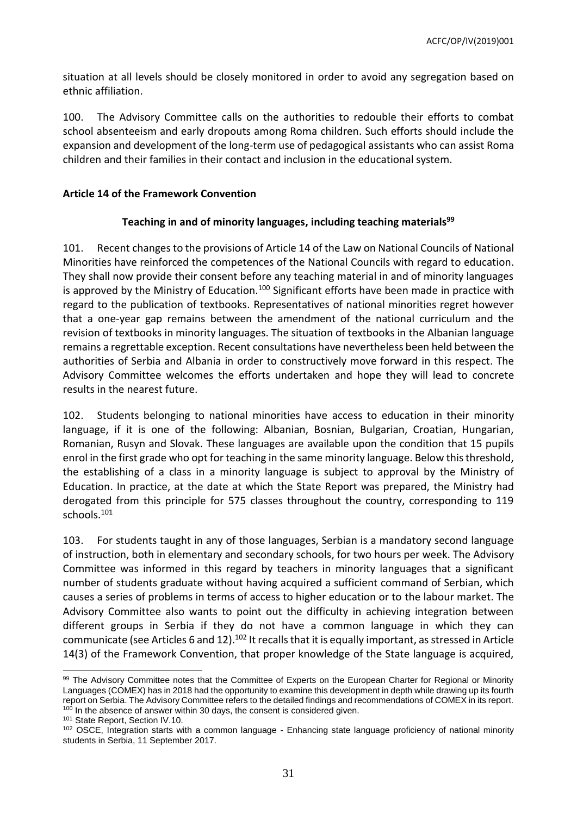situation at all levels should be closely monitored in order to avoid any segregation based on ethnic affiliation.

100. The Advisory Committee calls on the authorities to redouble their efforts to combat school absenteeism and early dropouts among Roma children. Such efforts should include the expansion and development of the long-term use of pedagogical assistants who can assist Roma children and their families in their contact and inclusion in the educational system.

#### <span id="page-30-0"></span>**Article 14 of the Framework Convention**

#### **Teaching in and of minority languages, including teaching materials<sup>99</sup>**

101. Recent changes to the provisions of Article 14 of the Law on National Councils of National Minorities have reinforced the competences of the National Councils with regard to education. They shall now provide their consent before any teaching material in and of minority languages is approved by the Ministry of Education.<sup>100</sup> Significant efforts have been made in practice with regard to the publication of textbooks. Representatives of national minorities regret however that a one-year gap remains between the amendment of the national curriculum and the revision of textbooks in minority languages. The situation of textbooks in the Albanian language remains a regrettable exception. Recent consultations have nevertheless been held between the authorities of Serbia and Albania in order to constructively move forward in this respect. The Advisory Committee welcomes the efforts undertaken and hope they will lead to concrete results in the nearest future.

102. Students belonging to national minorities have access to education in their minority language, if it is one of the following: Albanian, Bosnian, Bulgarian, Croatian, Hungarian, Romanian, Rusyn and Slovak. These languages are available upon the condition that 15 pupils enrol in the first grade who opt for teaching in the same minority language. Below this threshold, the establishing of a class in a minority language is subject to approval by the Ministry of Education. In practice, at the date at which the State Report was prepared, the Ministry had derogated from this principle for 575 classes throughout the country, corresponding to 119 schools.<sup>101</sup>

103. For students taught in any of those languages, Serbian is a mandatory second language of instruction, both in elementary and secondary schools, for two hours per week. The Advisory Committee was informed in this regard by teachers in minority languages that a significant number of students graduate without having acquired a sufficient command of Serbian, which causes a series of problems in terms of access to higher education or to the labour market. The Advisory Committee also wants to point out the difficulty in achieving integration between different groups in Serbia if they do not have a common language in which they can communicate (see Articles 6 and 12).<sup>102</sup> It recalls that it is equally important, as stressed in Article 14(3) of the Framework Convention, that proper knowledge of the State language is acquired,

 99 The Advisory Committee notes that the Committee of Experts on the European Charter for Regional or Minority Languages (COMEX) has in 2018 had the opportunity to examine this development in depth while drawing up its fourth report on Serbia. The Advisory Committee refers to the detailed findings and recommendations of COMEX in its report. <sup>100</sup> In the absence of answer within 30 days, the consent is considered given.

<sup>101</sup> State Report, Section IV.10.

<sup>&</sup>lt;sup>102</sup> OSCE, Integration starts with a common language - Enhancing state language proficiency of national minority students in Serbia, 11 September 2017.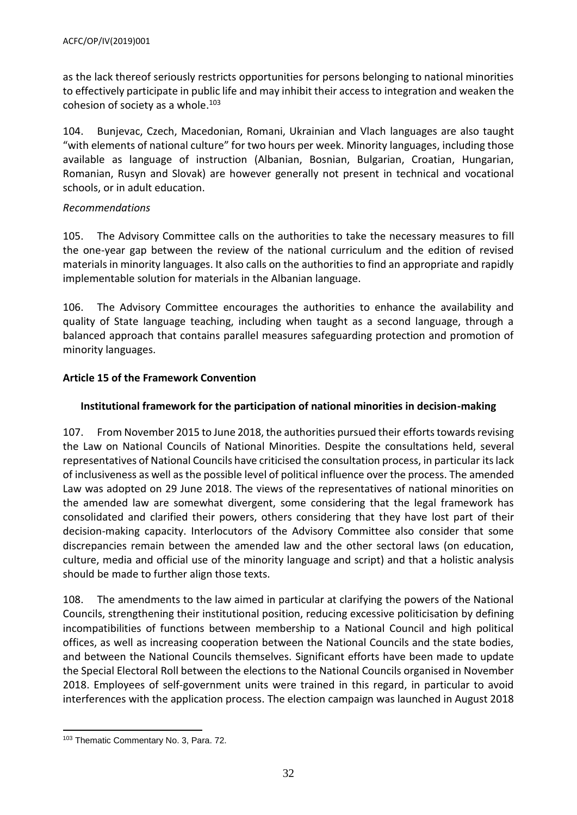as the lack thereof seriously restricts opportunities for persons belonging to national minorities to effectively participate in public life and may inhibit their access to integration and weaken the cohesion of society as a whole. 103

104. Bunjevac, Czech, Macedonian, Romani, Ukrainian and Vlach languages are also taught "with elements of national culture" for two hours per week. Minority languages, including those available as language of instruction (Albanian, Bosnian, Bulgarian, Croatian, Hungarian, Romanian, Rusyn and Slovak) are however generally not present in technical and vocational schools, or in adult education.

#### *Recommendations*

105. The Advisory Committee calls on the authorities to take the necessary measures to fill the one-year gap between the review of the national curriculum and the edition of revised materials in minority languages. It also calls on the authorities to find an appropriate and rapidly implementable solution for materials in the Albanian language.

106. The Advisory Committee encourages the authorities to enhance the availability and quality of State language teaching, including when taught as a second language, through a balanced approach that contains parallel measures safeguarding protection and promotion of minority languages.

## <span id="page-31-0"></span>**Article 15 of the Framework Convention**

# **Institutional framework for the participation of national minorities in decision-making**

107. From November 2015 to June 2018, the authorities pursued their efforts towards revising the Law on National Councils of National Minorities. Despite the consultations held, several representatives of National Councils have criticised the consultation process, in particular its lack of inclusiveness as well as the possible level of political influence over the process. The amended Law was adopted on 29 June 2018. The views of the representatives of national minorities on the amended law are somewhat divergent, some considering that the legal framework has consolidated and clarified their powers, others considering that they have lost part of their decision-making capacity. Interlocutors of the Advisory Committee also consider that some discrepancies remain between the amended law and the other sectoral laws (on education, culture, media and official use of the minority language and script) and that a holistic analysis should be made to further align those texts.

108. The amendments to the law aimed in particular at clarifying the powers of the National Councils, strengthening their institutional position, reducing excessive politicisation by defining incompatibilities of functions between membership to a National Council and high political offices, as well as increasing cooperation between the National Councils and the state bodies, and between the National Councils themselves. Significant efforts have been made to update the Special Electoral Roll between the elections to the National Councils organised in November 2018. Employees of self-government units were trained in this regard, in particular to avoid interferences with the application process. The election campaign was launched in August 2018

 <sup>103</sup> Thematic Commentary No. 3, Para. 72.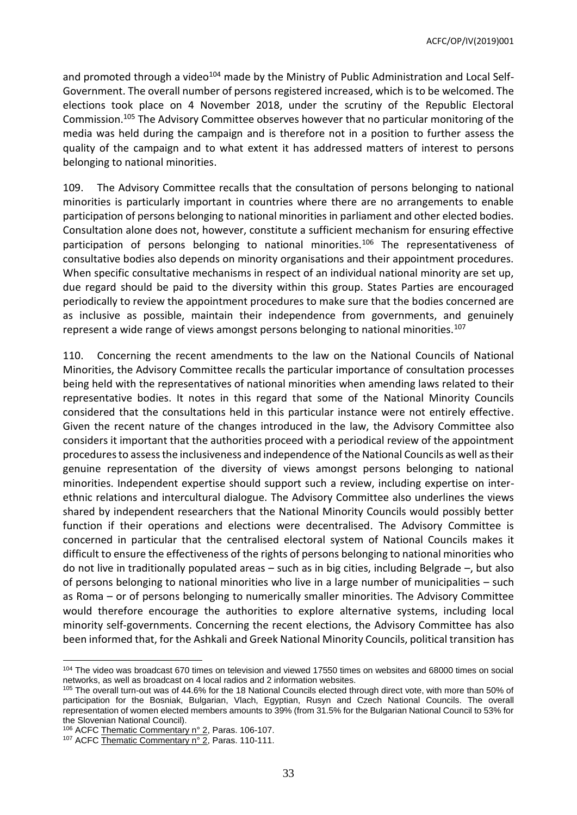and promoted through a video<sup>104</sup> made by the Ministry of Public Administration and Local Self-Government. The overall number of persons registered increased, which is to be welcomed. The elections took place on 4 November 2018, under the scrutiny of the Republic Electoral Commission.<sup>105</sup> The Advisory Committee observes however that no particular monitoring of the media was held during the campaign and is therefore not in a position to further assess the quality of the campaign and to what extent it has addressed matters of interest to persons belonging to national minorities.

109. The Advisory Committee recalls that the consultation of persons belonging to national minorities is particularly important in countries where there are no arrangements to enable participation of persons belonging to national minorities in parliament and other elected bodies. Consultation alone does not, however, constitute a sufficient mechanism for ensuring effective participation of persons belonging to national minorities.<sup>106</sup> The representativeness of consultative bodies also depends on minority organisations and their appointment procedures. When specific consultative mechanisms in respect of an individual national minority are set up, due regard should be paid to the diversity within this group. States Parties are encouraged periodically to review the appointment procedures to make sure that the bodies concerned are as inclusive as possible, maintain their independence from governments, and genuinely represent a wide range of views amongst persons belonging to national minorities.<sup>107</sup>

110. Concerning the recent amendments to the law on the National Councils of National Minorities, the Advisory Committee recalls the particular importance of consultation processes being held with the representatives of national minorities when amending laws related to their representative bodies. It notes in this regard that some of the National Minority Councils considered that the consultations held in this particular instance were not entirely effective. Given the recent nature of the changes introduced in the law, the Advisory Committee also considers it important that the authorities proceed with a periodical review of the appointment procedures to assess the inclusiveness and independence of the National Councils as well as their genuine representation of the diversity of views amongst persons belonging to national minorities. Independent expertise should support such a review, including expertise on interethnic relations and intercultural dialogue. The Advisory Committee also underlines the views shared by independent researchers that the National Minority Councils would possibly better function if their operations and elections were decentralised. The Advisory Committee is concerned in particular that the centralised electoral system of National Councils makes it difficult to ensure the effectiveness of the rights of persons belonging to national minorities who do not live in traditionally populated areas – such as in big cities, including Belgrade –, but also of persons belonging to national minorities who live in a large number of municipalities – such as Roma – or of persons belonging to numerically smaller minorities. The Advisory Committee would therefore encourage the authorities to explore alternative systems, including local minority self-governments. Concerning the recent elections, the Advisory Committee has also been informed that, for the Ashkali and Greek National Minority Councils, political transition has

 $\overline{a}$ 

<sup>104</sup> The video was broadcast 670 times on television and viewed 17550 times on websites and 68000 times on social networks, as well as broadcast on 4 local radios and 2 information websites.

<sup>&</sup>lt;sup>105</sup> The overall turn-out was of 44.6% for the 18 National Councils elected through direct vote, with more than 50% of participation for the Bosniak, Bulgarian, Vlach, Egyptian, Rusyn and Czech National Councils. The overall representation of women elected members amounts to 39% (from 31.5% for the Bulgarian National Council to 53% for the Slovenian National Council).

<sup>&</sup>lt;sup>106</sup> ACF[C Thematic Commentary n° 2,](https://rm.coe.int/CoERMPublicCommonSearchServices/DisplayDCTMContent?documentId=09000016800bc7e8) Paras. 106-107.

<sup>&</sup>lt;sup>107</sup> ACF[C Thematic Commentary n° 2,](https://rm.coe.int/CoERMPublicCommonSearchServices/DisplayDCTMContent?documentId=09000016800bc7e8) Paras. 110-111.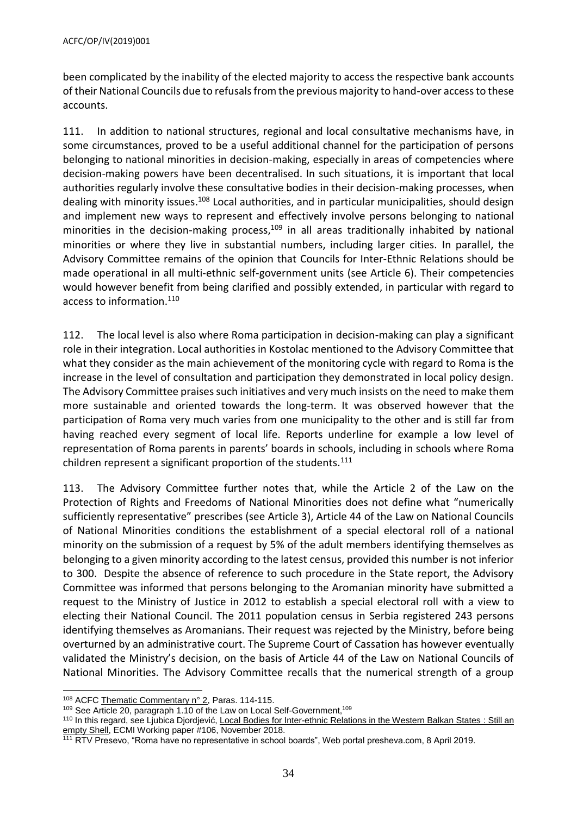been complicated by the inability of the elected majority to access the respective bank accounts of their National Councils due to refusals from the previous majority to hand-over access to these accounts.

111. In addition to national structures, regional and local consultative mechanisms have, in some circumstances, proved to be a useful additional channel for the participation of persons belonging to national minorities in decision-making, especially in areas of competencies where decision-making powers have been decentralised. In such situations, it is important that local authorities regularly involve these consultative bodies in their decision-making processes, when dealing with minority issues.<sup>108</sup> Local authorities, and in particular municipalities, should design and implement new ways to represent and effectively involve persons belonging to national minorities in the decision-making process, $109$  in all areas traditionally inhabited by national minorities or where they live in substantial numbers, including larger cities. In parallel, the Advisory Committee remains of the opinion that Councils for Inter-Ethnic Relations should be made operational in all multi-ethnic self-government units (see Article 6). Their competencies would however benefit from being clarified and possibly extended, in particular with regard to access to information. 110

112. The local level is also where Roma participation in decision-making can play a significant role in their integration. Local authorities in Kostolac mentioned to the Advisory Committee that what they consider as the main achievement of the monitoring cycle with regard to Roma is the increase in the level of consultation and participation they demonstrated in local policy design. The Advisory Committee praises such initiatives and very much insists on the need to make them more sustainable and oriented towards the long-term. It was observed however that the participation of Roma very much varies from one municipality to the other and is still far from having reached every segment of local life. Reports underline for example a low level of representation of Roma parents in parents' boards in schools, including in schools where Roma children represent a significant proportion of the students. $111$ 

113. The Advisory Committee further notes that, while the Article 2 of the Law on the Protection of Rights and Freedoms of National Minorities does not define what "numerically sufficiently representative" prescribes (see Article 3), Article 44 of the Law on National Councils of National Minorities conditions the establishment of a special electoral roll of a national minority on the submission of a request by 5% of the adult members identifying themselves as belonging to a given minority according to the latest census, provided this number is not inferior to 300. Despite the absence of reference to such procedure in the State report, the Advisory Committee was informed that persons belonging to the Aromanian minority have submitted a request to the Ministry of Justice in 2012 to establish a special electoral roll with a view to electing their National Council. The 2011 population census in Serbia registered 243 persons identifying themselves as Aromanians. Their request was rejected by the Ministry, before being overturned by an administrative court. The Supreme Court of Cassation has however eventually validated the Ministry's decision, on the basis of Article 44 of the Law on National Councils of National Minorities. The Advisory Committee recalls that the numerical strength of a group

109 See Article 20, paragraph 1.10 of the Law on Local Self-Government,<sup>109</sup>

<sup>108</sup> ACF[C Thematic Commentary n° 2,](https://rm.coe.int/CoERMPublicCommonSearchServices/DisplayDCTMContent?documentId=09000016800bc7e8) Paras. 114-115.

<sup>110</sup> In this regard, see Ljubica Djordjević[, Local Bodies for Inter-ethnic Relations in the Western Balkan States](https://www.ecmi.de/uploads/tx_lfpubdb/WP__106_Local_Bodies_for_Interethnic_Relations_in_the_Western_Balkan_States.pdf) : Still an [empty Shell,](https://www.ecmi.de/uploads/tx_lfpubdb/WP__106_Local_Bodies_for_Interethnic_Relations_in_the_Western_Balkan_States.pdf) ECMI Working paper #106, November 2018.

<sup>111</sup> RTV Presevo, "Roma have no representative in school boards", Web portal presheva.com, 8 April 2019.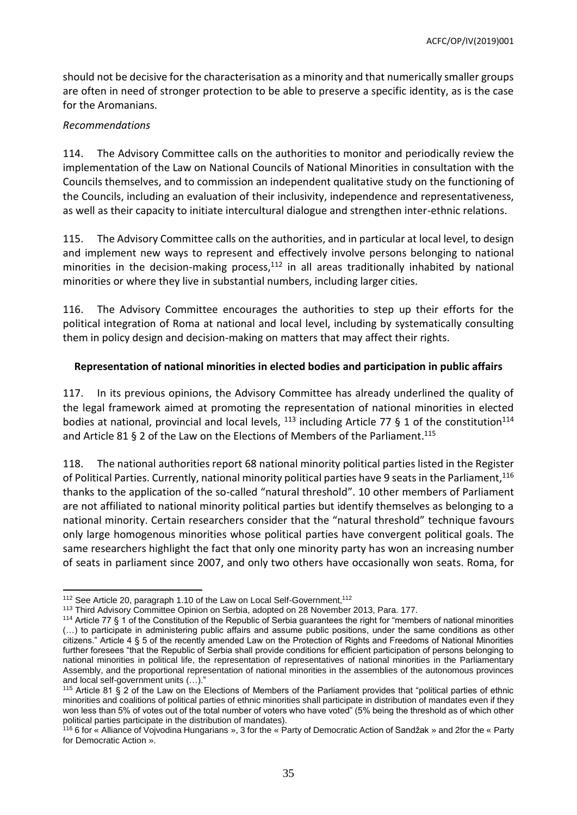should not be decisive for the characterisation as a minority and that numerically smaller groups are often in need of stronger protection to be able to preserve a specific identity, as is the case for the Aromanians.

#### *Recommendations*

114. The Advisory Committee calls on the authorities to monitor and periodically review the implementation of the Law on National Councils of National Minorities in consultation with the Councils themselves, and to commission an independent qualitative study on the functioning of the Councils, including an evaluation of their inclusivity, independence and representativeness, as well as their capacity to initiate intercultural dialogue and strengthen inter-ethnic relations.

115. The Advisory Committee calls on the authorities, and in particular at local level, to design and implement new ways to represent and effectively involve persons belonging to national minorities in the decision-making process, $112$  in all areas traditionally inhabited by national minorities or where they live in substantial numbers, including larger cities.

116. The Advisory Committee encourages the authorities to step up their efforts for the political integration of Roma at national and local level, including by systematically consulting them in policy design and decision-making on matters that may affect their rights.

#### **Representation of national minorities in elected bodies and participation in public affairs**

117. In its previous opinions, the Advisory Committee has already underlined the quality of the legal framework aimed at promoting the representation of national minorities in elected bodies at national, provincial and local levels,  $^{113}$  including Article 77 § 1 of the constitution<sup>114</sup> and Article 81 § 2 of the Law on the Elections of Members of the Parliament. 115

118. The national authorities report 68 national minority political parties listed in the Register of Political Parties. Currently, national minority political parties have 9 seats in the Parliament, 116 thanks to the application of the so-called "natural threshold". 10 other members of Parliament are not affiliated to national minority political parties but identify themselves as belonging to a national minority. Certain researchers consider that the "natural threshold" technique favours only large homogenous minorities whose political parties have convergent political goals. The same researchers highlight the fact that only one minority party has won an increasing number of seats in parliament since 2007, and only two others have occasionally won seats. Roma, for

 $\overline{a}$ <sup>112</sup> See Article 20, paragraph 1.10 of the Law on Local Self-Government,<sup>112</sup>

<sup>113</sup> Third Advisory Committee Opinion on Serbia, adopted on 28 November 2013, Para. 177.

<sup>114</sup> Article 77 § 1 of the Constitution of the Republic of Serbia guarantees the right for "members of national minorities (…) to participate in administering public affairs and assume public positions, under the same conditions as other citizens." Article 4 § 5 of the recently amended Law on the Protection of Rights and Freedoms of National Minorities further foresees "that the Republic of Serbia shall provide conditions for efficient participation of persons belonging to national minorities in political life, the representation of representatives of national minorities in the Parliamentary Assembly, and the proportional representation of national minorities in the assemblies of the autonomous provinces and local self-government units (…)."

<sup>&</sup>lt;sup>115</sup> Article 81 § 2 of the Law on the Elections of Members of the Parliament provides that "political parties of ethnic minorities and coalitions of political parties of ethnic minorities shall participate in distribution of mandates even if they won less than 5% of votes out of the total number of voters who have voted" (5% being the threshold as of which other political parties participate in the distribution of mandates).

<sup>116</sup> 6 for « Alliance of Vojvodina Hungarians », 3 for the « Party of Democratic Action of Sandžak » and 2for the « Party for Democratic Action ».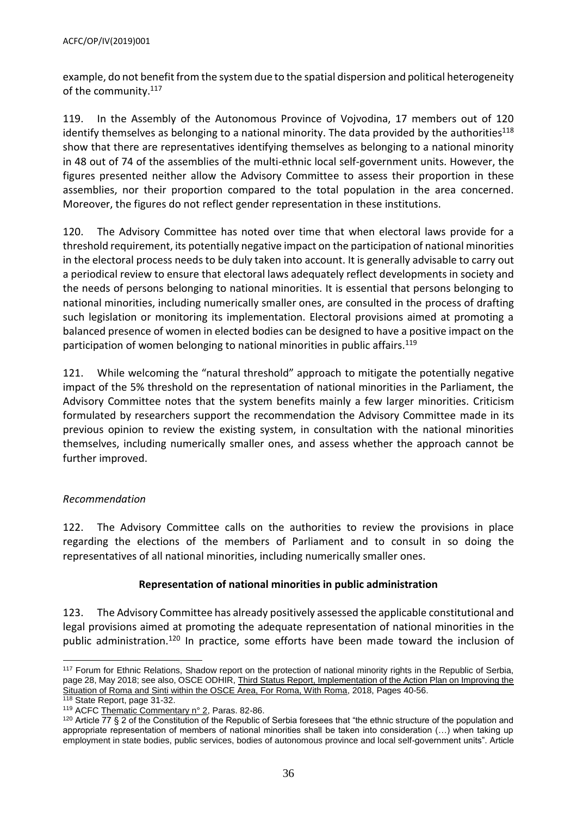example, do not benefit from the system due to the spatial dispersion and political heterogeneity of the community.<sup>117</sup>

119. In the Assembly of the Autonomous Province of Vojvodina, 17 members out of 120 identify themselves as belonging to a national minority. The data provided by the authorities<sup>118</sup> show that there are representatives identifying themselves as belonging to a national minority in 48 out of 74 of the assemblies of the multi-ethnic local self-government units. However, the figures presented neither allow the Advisory Committee to assess their proportion in these assemblies, nor their proportion compared to the total population in the area concerned. Moreover, the figures do not reflect gender representation in these institutions.

120. The Advisory Committee has noted over time that when electoral laws provide for a threshold requirement, its potentially negative impact on the participation of national minorities in the electoral process needs to be duly taken into account. It is generally advisable to carry out a periodical review to ensure that electoral laws adequately reflect developments in society and the needs of persons belonging to national minorities. It is essential that persons belonging to national minorities, including numerically smaller ones, are consulted in the process of drafting such legislation or monitoring its implementation. Electoral provisions aimed at promoting a balanced presence of women in elected bodies can be designed to have a positive impact on the participation of women belonging to national minorities in public affairs.<sup>119</sup>

121. While welcoming the "natural threshold" approach to mitigate the potentially negative impact of the 5% threshold on the representation of national minorities in the Parliament, the Advisory Committee notes that the system benefits mainly a few larger minorities. Criticism formulated by researchers support the recommendation the Advisory Committee made in its previous opinion to review the existing system, in consultation with the national minorities themselves, including numerically smaller ones, and assess whether the approach cannot be further improved.

## *Recommendation*

122. The Advisory Committee calls on the authorities to review the provisions in place regarding the elections of the members of Parliament and to consult in so doing the representatives of all national minorities, including numerically smaller ones.

## **Representation of national minorities in public administration**

123. The Advisory Committee has already positively assessed the applicable constitutional and legal provisions aimed at promoting the adequate representation of national minorities in the public administration.<sup>120</sup> In practice, some efforts have been made toward the inclusion of

 $\overline{a}$ <sup>117</sup> Forum for Ethnic Relations, Shadow report on the protection of national minority rights in the Republic of Serbia, page 28, May 2018; see also, OSCE ODHIR, Third Status Report, Implementation of the Action Plan on Improving the [Situation of Roma and Sinti within the OSCE Area, For Roma, With Roma,](https://www.praxis.org.rs/images/praxis_downloads/OSCE_ODIHR_Third_status_report_on_Roma.pdf) 2018, Pages 40-56.

<sup>118</sup> State Report, page 31-32.

<sup>119</sup> ACF[C Thematic Commentary n° 2,](https://rm.coe.int/CoERMPublicCommonSearchServices/DisplayDCTMContent?documentId=09000016800bc7e8) Paras. 82-86.

<sup>&</sup>lt;sup>120</sup> Article 77 § 2 of the Constitution of the Republic of Serbia foresees that "the ethnic structure of the population and appropriate representation of members of national minorities shall be taken into consideration (…) when taking up employment in state bodies, public services, bodies of autonomous province and local self-government units". Article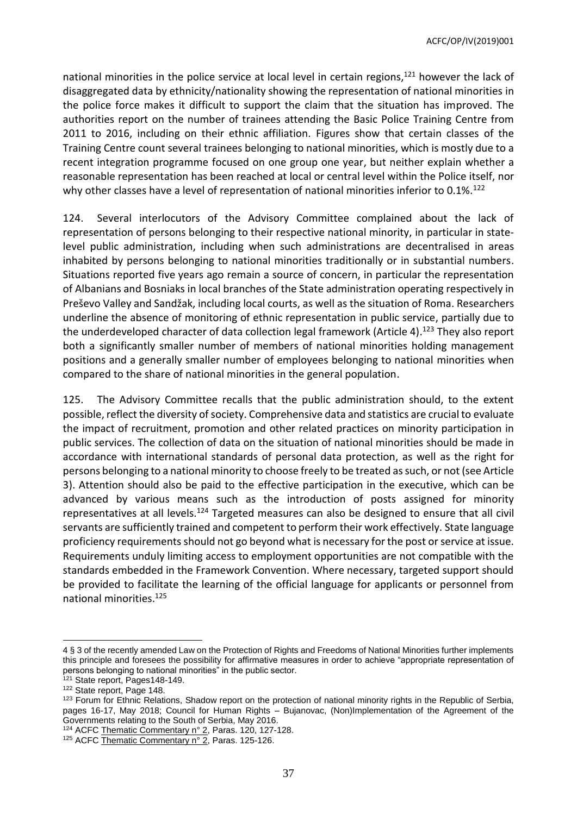national minorities in the police service at local level in certain regions, <sup>121</sup> however the lack of disaggregated data by ethnicity/nationality showing the representation of national minorities in the police force makes it difficult to support the claim that the situation has improved. The authorities report on the number of trainees attending the Basic Police Training Centre from 2011 to 2016, including on their ethnic affiliation. Figures show that certain classes of the Training Centre count several trainees belonging to national minorities, which is mostly due to a recent integration programme focused on one group one year, but neither explain whether a reasonable representation has been reached at local or central level within the Police itself, nor why other classes have a level of representation of national minorities inferior to 0.1%.<sup>122</sup>

124. Several interlocutors of the Advisory Committee complained about the lack of representation of persons belonging to their respective national minority, in particular in statelevel public administration, including when such administrations are decentralised in areas inhabited by persons belonging to national minorities traditionally or in substantial numbers. Situations reported five years ago remain a source of concern, in particular the representation of Albanians and Bosniaks in local branches of the State administration operating respectively in Preševo Valley and Sandžak, including local courts, as well as the situation of Roma. Researchers underline the absence of monitoring of ethnic representation in public service, partially due to the underdeveloped character of data collection legal framework (Article 4). <sup>123</sup> They also report both a significantly smaller number of members of national minorities holding management positions and a generally smaller number of employees belonging to national minorities when compared to the share of national minorities in the general population.

125. The Advisory Committee recalls that the public administration should, to the extent possible, reflect the diversity of society. Comprehensive data and statistics are crucial to evaluate the impact of recruitment, promotion and other related practices on minority participation in public services. The collection of data on the situation of national minorities should be made in accordance with international standards of personal data protection, as well as the right for persons belonging to a national minority to choose freely to be treated as such, or not (see Article 3). Attention should also be paid to the effective participation in the executive, which can be advanced by various means such as the introduction of posts assigned for minority representatives at all levels.<sup>124</sup> Targeted measures can also be designed to ensure that all civil servants are sufficiently trained and competent to perform their work effectively. State language proficiency requirements should not go beyond what is necessary for the post or service at issue. Requirements unduly limiting access to employment opportunities are not compatible with the standards embedded in the Framework Convention. Where necessary, targeted support should be provided to facilitate the learning of the official language for applicants or personnel from national minorities.<sup>125</sup>

<sup>4 § 3</sup> of the recently amended Law on the Protection of Rights and Freedoms of National Minorities further implements this principle and foresees the possibility for affirmative measures in order to achieve "appropriate representation of persons belonging to national minorities" in the public sector.

<sup>&</sup>lt;sup>121</sup> State report, Pages148-149.

<sup>122</sup> State report, Page 148.

<sup>&</sup>lt;sup>123</sup> Forum for Ethnic Relations, Shadow report on the protection of national minority rights in the Republic of Serbia, pages 16-17, May 2018; Council for Human Rights – Bujanovac, (Non)Implementation of the Agreement of the Governments relating to the South of Serbia, May 2016.

<sup>&</sup>lt;sup>124</sup> ACF[C Thematic Commentary n° 2,](https://rm.coe.int/CoERMPublicCommonSearchServices/DisplayDCTMContent?documentId=09000016800bc7e8) Paras. 120, 127-128.

<sup>&</sup>lt;sup>125</sup> ACF[C Thematic Commentary n° 2,](https://rm.coe.int/CoERMPublicCommonSearchServices/DisplayDCTMContent?documentId=09000016800bc7e8) Paras. 125-126.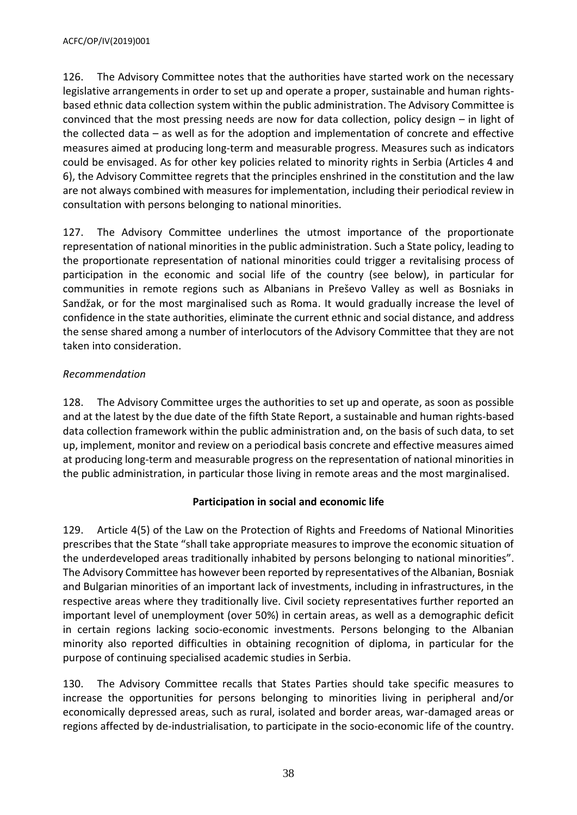126. The Advisory Committee notes that the authorities have started work on the necessary legislative arrangements in order to set up and operate a proper, sustainable and human rightsbased ethnic data collection system within the public administration. The Advisory Committee is convinced that the most pressing needs are now for data collection, policy design – in light of the collected data – as well as for the adoption and implementation of concrete and effective measures aimed at producing long-term and measurable progress. Measures such as indicators could be envisaged. As for other key policies related to minority rights in Serbia (Articles 4 and 6), the Advisory Committee regrets that the principles enshrined in the constitution and the law are not always combined with measures for implementation, including their periodical review in consultation with persons belonging to national minorities.

127. The Advisory Committee underlines the utmost importance of the proportionate representation of national minorities in the public administration. Such a State policy, leading to the proportionate representation of national minorities could trigger a revitalising process of participation in the economic and social life of the country (see below), in particular for communities in remote regions such as Albanians in Preševo Valley as well as Bosniaks in Sandžak, or for the most marginalised such as Roma. It would gradually increase the level of confidence in the state authorities, eliminate the current ethnic and social distance, and address the sense shared among a number of interlocutors of the Advisory Committee that they are not taken into consideration.

# *Recommendation*

128. The Advisory Committee urges the authorities to set up and operate, as soon as possible and at the latest by the due date of the fifth State Report, a sustainable and human rights-based data collection framework within the public administration and, on the basis of such data, to set up, implement, monitor and review on a periodical basis concrete and effective measures aimed at producing long-term and measurable progress on the representation of national minorities in the public administration, in particular those living in remote areas and the most marginalised.

# **Participation in social and economic life**

129. Article 4(5) of the Law on the Protection of Rights and Freedoms of National Minorities prescribes that the State "shall take appropriate measures to improve the economic situation of the underdeveloped areas traditionally inhabited by persons belonging to national minorities". The Advisory Committee has however been reported by representatives of the Albanian, Bosniak and Bulgarian minorities of an important lack of investments, including in infrastructures, in the respective areas where they traditionally live. Civil society representatives further reported an important level of unemployment (over 50%) in certain areas, as well as a demographic deficit in certain regions lacking socio-economic investments. Persons belonging to the Albanian minority also reported difficulties in obtaining recognition of diploma, in particular for the purpose of continuing specialised academic studies in Serbia.

130. The Advisory Committee recalls that States Parties should take specific measures to increase the opportunities for persons belonging to minorities living in peripheral and/or economically depressed areas, such as rural, isolated and border areas, war-damaged areas or regions affected by de-industrialisation, to participate in the socio-economic life of the country.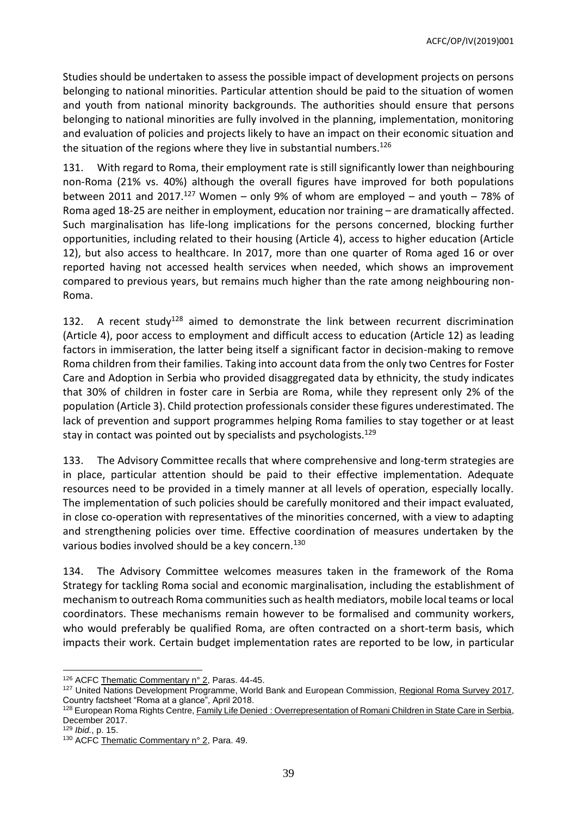Studies should be undertaken to assess the possible impact of development projects on persons belonging to national minorities. Particular attention should be paid to the situation of women and youth from national minority backgrounds. The authorities should ensure that persons belonging to national minorities are fully involved in the planning, implementation, monitoring and evaluation of policies and projects likely to have an impact on their economic situation and the situation of the regions where they live in substantial numbers.<sup>126</sup>

131. With regard to Roma, their employment rate is still significantly lower than neighbouring non-Roma (21% vs. 40%) although the overall figures have improved for both populations between 2011 and 2017.<sup>127</sup> Women – only 9% of whom are employed – and youth – 78% of Roma aged 18-25 are neither in employment, education nor training – are dramatically affected. Such marginalisation has life-long implications for the persons concerned, blocking further opportunities, including related to their housing (Article 4), access to higher education (Article 12), but also access to healthcare. In 2017, more than one quarter of Roma aged 16 or over reported having not accessed health services when needed, which shows an improvement compared to previous years, but remains much higher than the rate among neighbouring non-Roma.

132. A recent study<sup>128</sup> aimed to demonstrate the link between recurrent discrimination (Article 4), poor access to employment and difficult access to education (Article 12) as leading factors in immiseration, the latter being itself a significant factor in decision-making to remove Roma children from their families. Taking into account data from the only two Centres for Foster Care and Adoption in Serbia who provided disaggregated data by ethnicity, the study indicates that 30% of children in foster care in Serbia are Roma, while they represent only 2% of the population (Article 3). Child protection professionals consider these figures underestimated. The lack of prevention and support programmes helping Roma families to stay together or at least stay in contact was pointed out by specialists and psychologists.<sup>129</sup>

133. The Advisory Committee recalls that where comprehensive and long-term strategies are in place, particular attention should be paid to their effective implementation. Adequate resources need to be provided in a timely manner at all levels of operation, especially locally. The implementation of such policies should be carefully monitored and their impact evaluated, in close co-operation with representatives of the minorities concerned, with a view to adapting and strengthening policies over time. Effective coordination of measures undertaken by the various bodies involved should be a key concern.<sup>130</sup>

134. The Advisory Committee welcomes measures taken in the framework of the Roma Strategy for tackling Roma social and economic marginalisation, including the establishment of mechanism to outreach Roma communities such as health mediators, mobile local teams or local coordinators. These mechanisms remain however to be formalised and community workers, who would preferably be qualified Roma, are often contracted on a short-term basis, which impacts their work. Certain budget implementation rates are reported to be low, in particular

<sup>126</sup> ACF[C Thematic Commentary n° 2,](https://rm.coe.int/CoERMPublicCommonSearchServices/DisplayDCTMContent?documentId=09000016800bc7e8) Paras. 44-45.

<sup>&</sup>lt;sup>127</sup> United Nations Development Programme, World Bank and European Commission, [Regional Roma Survey 2017,](http://www.eurasia.undp.org/content/dam/rbec/docs/Factsheet_SERBIA_Roma.pdf) Country factsheet "Roma at a glance", April 2018.

<sup>128</sup> European Roma Rights Centre, Family Life Denied [: Overrepresentation of Romani Children in State Care in Serbia,](http://www.errc.org/uploads/upload_en/file/overrepresentation-of-romani-children-in-state-care-in-serbia.pdf) December 2017.

<sup>129</sup> *Ibid.*, p. 15.

<sup>130</sup> ACF[C Thematic Commentary n° 2,](https://rm.coe.int/CoERMPublicCommonSearchServices/DisplayDCTMContent?documentId=09000016800bc7e8) Para. 49.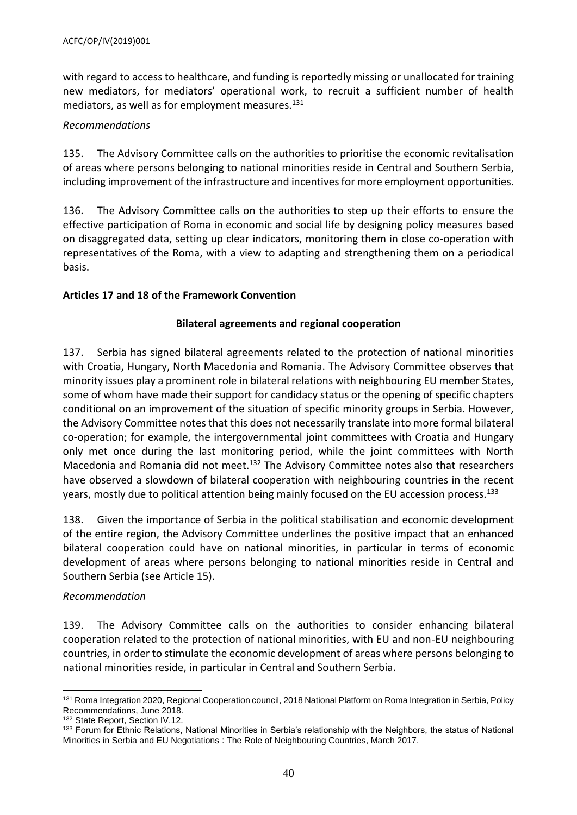with regard to access to healthcare, and funding is reportedly missing or unallocated for training new mediators, for mediators' operational work, to recruit a sufficient number of health mediators, as well as for employment measures.<sup>131</sup>

## *Recommendations*

135. The Advisory Committee calls on the authorities to prioritise the economic revitalisation of areas where persons belonging to national minorities reside in Central and Southern Serbia, including improvement of the infrastructure and incentives for more employment opportunities.

136. The Advisory Committee calls on the authorities to step up their efforts to ensure the effective participation of Roma in economic and social life by designing policy measures based on disaggregated data, setting up clear indicators, monitoring them in close co-operation with representatives of the Roma, with a view to adapting and strengthening them on a periodical basis.

# <span id="page-39-0"></span>**Articles 17 and 18 of the Framework Convention**

## **Bilateral agreements and regional cooperation**

137. Serbia has signed bilateral agreements related to the protection of national minorities with Croatia, Hungary, North Macedonia and Romania. The Advisory Committee observes that minority issues play a prominent role in bilateral relations with neighbouring EU member States, some of whom have made their support for candidacy status or the opening of specific chapters conditional on an improvement of the situation of specific minority groups in Serbia. However, the Advisory Committee notes that this does not necessarily translate into more formal bilateral co-operation; for example, the intergovernmental joint committees with Croatia and Hungary only met once during the last monitoring period, while the joint committees with North Macedonia and Romania did not meet.<sup>132</sup> The Advisory Committee notes also that researchers have observed a slowdown of bilateral cooperation with neighbouring countries in the recent years, mostly due to political attention being mainly focused on the EU accession process.<sup>133</sup>

138. Given the importance of Serbia in the political stabilisation and economic development of the entire region, the Advisory Committee underlines the positive impact that an enhanced bilateral cooperation could have on national minorities, in particular in terms of economic development of areas where persons belonging to national minorities reside in Central and Southern Serbia (see Article 15).

## *Recommendation*

139. The Advisory Committee calls on the authorities to consider enhancing bilateral cooperation related to the protection of national minorities, with EU and non-EU neighbouring countries, in order to stimulate the economic development of areas where persons belonging to national minorities reside, in particular in Central and Southern Serbia.

 131 Roma Integration 2020, Regional Cooperation council, 2018 National Platform on Roma Integration in Serbia, Policy Recommendations, June 2018.

<sup>132</sup> State Report, Section IV.12.

<sup>133</sup> Forum for Ethnic Relations, National Minorities in Serbia's relationship with the Neighbors, the status of National Minorities in Serbia and EU Negotiations : The Role of Neighbouring Countries, March 2017.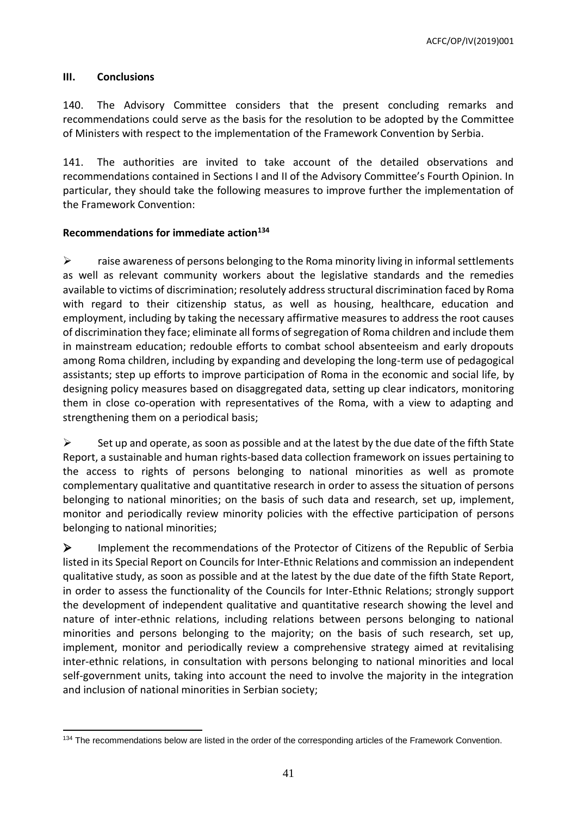ACFC/OP/IV(2019)001

#### <span id="page-40-0"></span>**III. Conclusions**

140. The Advisory Committee considers that the present concluding remarks and recommendations could serve as the basis for the resolution to be adopted by the Committee of Ministers with respect to the implementation of the Framework Convention by Serbia.

141. The authorities are invited to take account of the detailed observations and recommendations contained in Sections I and II of the Advisory Committee's Fourth Opinion. In particular, they should take the following measures to improve further the implementation of the Framework Convention:

#### <span id="page-40-1"></span>**Recommendations for immediate action<sup>134</sup>**

 $\triangleright$  raise awareness of persons belonging to the Roma minority living in informal settlements as well as relevant community workers about the legislative standards and the remedies available to victims of discrimination; resolutely address structural discrimination faced by Roma with regard to their citizenship status, as well as housing, healthcare, education and employment, including by taking the necessary affirmative measures to address the root causes of discrimination they face; eliminate all forms of segregation of Roma children and include them in mainstream education; redouble efforts to combat school absenteeism and early dropouts among Roma children, including by expanding and developing the long-term use of pedagogical assistants; step up efforts to improve participation of Roma in the economic and social life, by designing policy measures based on disaggregated data, setting up clear indicators, monitoring them in close co-operation with representatives of the Roma, with a view to adapting and strengthening them on a periodical basis;

 $\triangleright$  Set up and operate, as soon as possible and at the latest by the due date of the fifth State Report, a sustainable and human rights-based data collection framework on issues pertaining to the access to rights of persons belonging to national minorities as well as promote complementary qualitative and quantitative research in order to assess the situation of persons belonging to national minorities; on the basis of such data and research, set up, implement, monitor and periodically review minority policies with the effective participation of persons belonging to national minorities;

 $\triangleright$  Implement the recommendations of the Protector of Citizens of the Republic of Serbia listed in its Special Report on Councils for Inter-Ethnic Relations and commission an independent qualitative study, as soon as possible and at the latest by the due date of the fifth State Report, in order to assess the functionality of the Councils for Inter-Ethnic Relations; strongly support the development of independent qualitative and quantitative research showing the level and nature of inter-ethnic relations, including relations between persons belonging to national minorities and persons belonging to the majority; on the basis of such research, set up, implement, monitor and periodically review a comprehensive strategy aimed at revitalising inter-ethnic relations, in consultation with persons belonging to national minorities and local self-government units, taking into account the need to involve the majority in the integration and inclusion of national minorities in Serbian society;

 134 The recommendations below are listed in the order of the corresponding articles of the Framework Convention.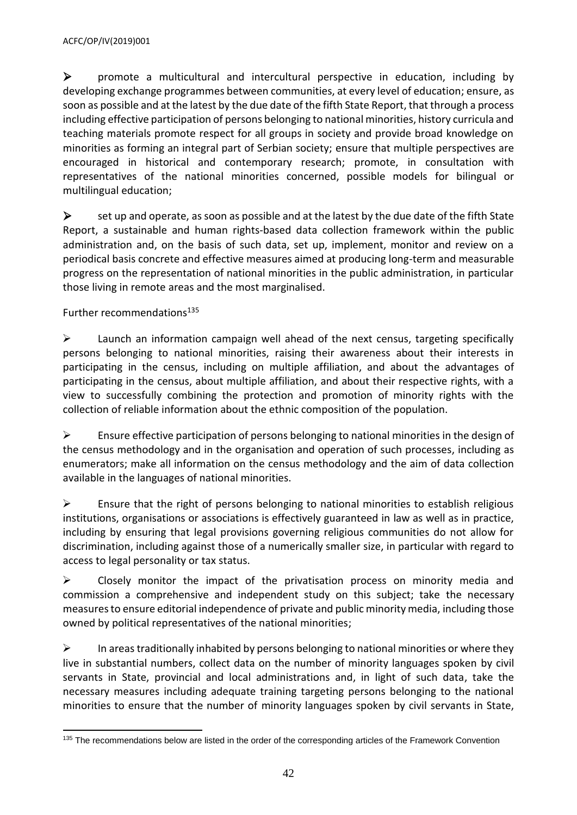promote a multicultural and intercultural perspective in education, including by developing exchange programmes between communities, at every level of education; ensure, as soon as possible and at the latest by the due date of the fifth State Report, that through a process including effective participation of persons belonging to national minorities, history curricula and teaching materials promote respect for all groups in society and provide broad knowledge on minorities as forming an integral part of Serbian society; ensure that multiple perspectives are encouraged in historical and contemporary research; promote, in consultation with representatives of the national minorities concerned, possible models for bilingual or multilingual education;

 $\triangleright$  set up and operate, as soon as possible and at the latest by the due date of the fifth State Report, a sustainable and human rights-based data collection framework within the public administration and, on the basis of such data, set up, implement, monitor and review on a periodical basis concrete and effective measures aimed at producing long-term and measurable progress on the representation of national minorities in the public administration, in particular those living in remote areas and the most marginalised.

# <span id="page-41-0"></span>Further recommendations<sup>135</sup>

 $\triangleright$  Launch an information campaign well ahead of the next census, targeting specifically persons belonging to national minorities, raising their awareness about their interests in participating in the census, including on multiple affiliation, and about the advantages of participating in the census, about multiple affiliation, and about their respective rights, with a view to successfully combining the protection and promotion of minority rights with the collection of reliable information about the ethnic composition of the population.

 $\triangleright$  Ensure effective participation of persons belonging to national minorities in the design of the census methodology and in the organisation and operation of such processes, including as enumerators; make all information on the census methodology and the aim of data collection available in the languages of national minorities.

 $\triangleright$  Ensure that the right of persons belonging to national minorities to establish religious institutions, organisations or associations is effectively guaranteed in law as well as in practice, including by ensuring that legal provisions governing religious communities do not allow for discrimination, including against those of a numerically smaller size, in particular with regard to access to legal personality or tax status.

 $\triangleright$  Closely monitor the impact of the privatisation process on minority media and commission a comprehensive and independent study on this subject; take the necessary measures to ensure editorial independence of private and public minority media, including those owned by political representatives of the national minorities;

 $\triangleright$  In areas traditionally inhabited by persons belonging to national minorities or where they live in substantial numbers, collect data on the number of minority languages spoken by civil servants in State, provincial and local administrations and, in light of such data, take the necessary measures including adequate training targeting persons belonging to the national minorities to ensure that the number of minority languages spoken by civil servants in State,

 <sup>135</sup> The recommendations below are listed in the order of the corresponding articles of the Framework Convention